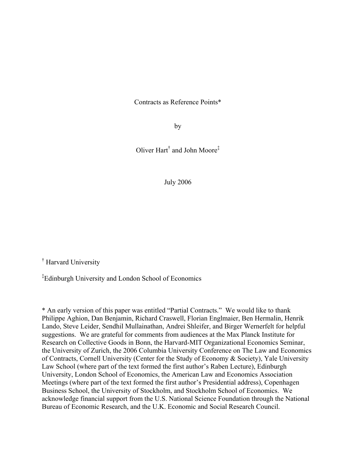Contracts as Reference Points\*

by

Oliver Hart† and John Moore‡

July 2006

† Harvard University

‡ Edinburgh University and London School of Economics

\* An early version of this paper was entitled "Partial Contracts." We would like to thank Philippe Aghion, Dan Benjamin, Richard Craswell, Florian Englmaier, Ben Hermalin, Henrik Lando, Steve Leider, Sendhil Mullainathan, Andrei Shleifer, and Birger Wernerfelt for helpful suggestions. We are grateful for comments from audiences at the Max Planck Institute for Research on Collective Goods in Bonn, the Harvard-MIT Organizational Economics Seminar, the University of Zurich, the 2006 Columbia University Conference on The Law and Economics of Contracts, Cornell University (Center for the Study of Economy & Society), Yale University Law School (where part of the text formed the first author's Raben Lecture), Edinburgh University, London School of Economics, the American Law and Economics Association Meetings (where part of the text formed the first author's Presidential address), Copenhagen Business School, the University of Stockholm, and Stockholm School of Economics. We acknowledge financial support from the U.S. National Science Foundation through the National Bureau of Economic Research, and the U.K. Economic and Social Research Council.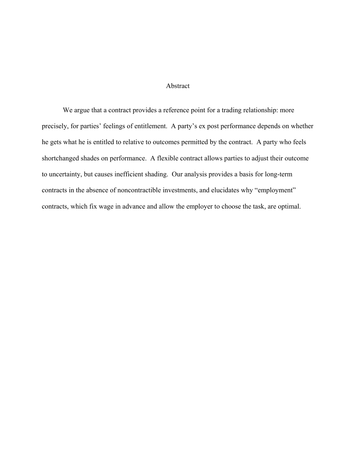## Abstract

 We argue that a contract provides a reference point for a trading relationship: more precisely, for parties' feelings of entitlement. A party's ex post performance depends on whether he gets what he is entitled to relative to outcomes permitted by the contract. A party who feels shortchanged shades on performance. A flexible contract allows parties to adjust their outcome to uncertainty, but causes inefficient shading. Our analysis provides a basis for long-term contracts in the absence of noncontractible investments, and elucidates why "employment" contracts, which fix wage in advance and allow the employer to choose the task, are optimal.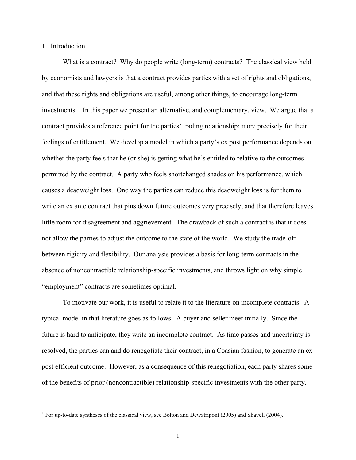## 1. Introduction

What is a contract? Why do people write (long-term) contracts? The classical view held by economists and lawyers is that a contract provides parties with a set of rights and obligations, and that these rights and obligations are useful, among other things, to encourage long-term investments.<sup>1</sup> In this paper we present an alternative, and complementary, view. We argue that a contract provides a reference point for the parties' trading relationship: more precisely for their feelings of entitlement. We develop a model in which a party's ex post performance depends on whether the party feels that he (or she) is getting what he's entitled to relative to the outcomes permitted by the contract. A party who feels shortchanged shades on his performance, which causes a deadweight loss. One way the parties can reduce this deadweight loss is for them to write an ex ante contract that pins down future outcomes very precisely, and that therefore leaves little room for disagreement and aggrievement. The drawback of such a contract is that it does not allow the parties to adjust the outcome to the state of the world. We study the trade-off between rigidity and flexibility. Our analysis provides a basis for long-term contracts in the absence of noncontractible relationship-specific investments, and throws light on why simple "employment" contracts are sometimes optimal.

 To motivate our work, it is useful to relate it to the literature on incomplete contracts. A typical model in that literature goes as follows. A buyer and seller meet initially. Since the future is hard to anticipate, they write an incomplete contract. As time passes and uncertainty is resolved, the parties can and do renegotiate their contract, in a Coasian fashion, to generate an ex post efficient outcome. However, as a consequence of this renegotiation, each party shares some of the benefits of prior (noncontractible) relationship-specific investments with the other party.

<sup>&</sup>lt;sup>1</sup> For up-to-date syntheses of the classical view, see Bolton and Dewatripont (2005) and Shavell (2004).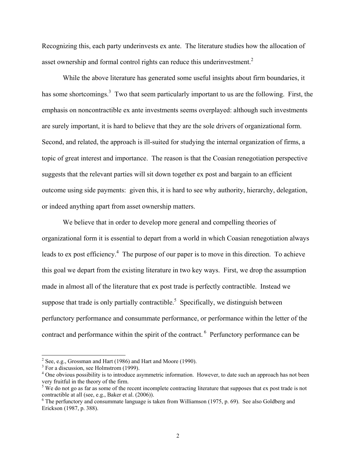Recognizing this, each party underinvests ex ante. The literature studies how the allocation of asset ownership and formal control rights can reduce this underinvestment. $2$ 

 While the above literature has generated some useful insights about firm boundaries, it has some shortcomings.<sup>3</sup> Two that seem particularly important to us are the following. First, the emphasis on noncontractible ex ante investments seems overplayed: although such investments are surely important, it is hard to believe that they are the sole drivers of organizational form. Second, and related, the approach is ill-suited for studying the internal organization of firms, a topic of great interest and importance. The reason is that the Coasian renegotiation perspective suggests that the relevant parties will sit down together ex post and bargain to an efficient outcome using side payments: given this, it is hard to see why authority, hierarchy, delegation, or indeed anything apart from asset ownership matters.

 We believe that in order to develop more general and compelling theories of organizational form it is essential to depart from a world in which Coasian renegotiation always leads to ex post efficiency.<sup>4</sup> The purpose of our paper is to move in this direction. To achieve this goal we depart from the existing literature in two key ways. First, we drop the assumption made in almost all of the literature that ex post trade is perfectly contractible. Instead we suppose that trade is only partially contractible.<sup>5</sup> Specifically, we distinguish between perfunctory performance and consummate performance, or performance within the letter of the contract and performance within the spirit of the contract. <sup>6</sup> Perfunctory performance can be

<sup>&</sup>lt;sup>2</sup> See, e.g., Grossman and Hart (1986) and Hart and Moore (1990).

<sup>&</sup>lt;sup>3</sup> For a discussion, see Holmstrom (1999).

<sup>&</sup>lt;sup>4</sup> One obvious possibility is to introduce asymmetric information. However, to date such an approach has not been very fruitful in the theory of the firm.

 $5$  We do not go as far as some of the recent incomplete contracting literature that supposes that ex post trade is not contractible at all (see, e.g., Baker et al. (2006)).

<sup>&</sup>lt;sup>6</sup> The perfunctory and consummate language is taken from Williamson (1975, p. 69). See also Goldberg and Erickson (1987, p. 388).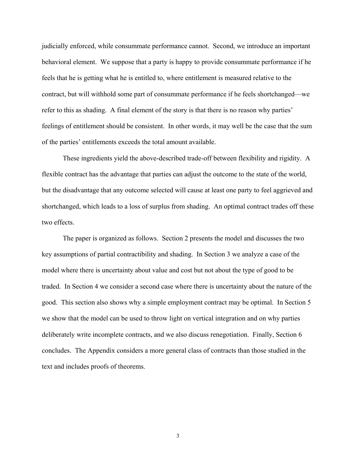judicially enforced, while consummate performance cannot. Second, we introduce an important behavioral element. We suppose that a party is happy to provide consummate performance if he feels that he is getting what he is entitled to, where entitlement is measured relative to the contract, but will withhold some part of consummate performance if he feels shortchanged—we refer to this as shading. A final element of the story is that there is no reason why parties' feelings of entitlement should be consistent. In other words, it may well be the case that the sum of the parties' entitlements exceeds the total amount available.

 These ingredients yield the above-described trade-off between flexibility and rigidity. A flexible contract has the advantage that parties can adjust the outcome to the state of the world, but the disadvantage that any outcome selected will cause at least one party to feel aggrieved and shortchanged, which leads to a loss of surplus from shading. An optimal contract trades off these two effects.

 The paper is organized as follows. Section 2 presents the model and discusses the two key assumptions of partial contractibility and shading. In Section 3 we analyze a case of the model where there is uncertainty about value and cost but not about the type of good to be traded. In Section 4 we consider a second case where there is uncertainty about the nature of the good. This section also shows why a simple employment contract may be optimal. In Section 5 we show that the model can be used to throw light on vertical integration and on why parties deliberately write incomplete contracts, and we also discuss renegotiation. Finally, Section 6 concludes. The Appendix considers a more general class of contracts than those studied in the text and includes proofs of theorems.

3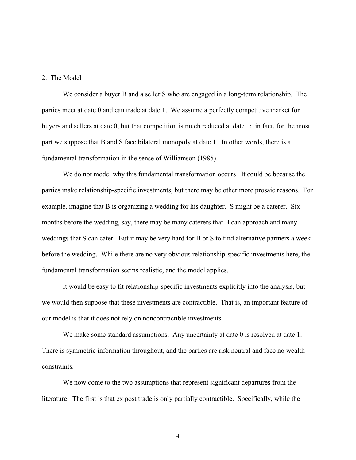#### 2. The Model

 We consider a buyer B and a seller S who are engaged in a long-term relationship. The parties meet at date 0 and can trade at date 1. We assume a perfectly competitive market for buyers and sellers at date 0, but that competition is much reduced at date 1: in fact, for the most part we suppose that B and S face bilateral monopoly at date 1. In other words, there is a fundamental transformation in the sense of Williamson (1985).

 We do not model why this fundamental transformation occurs. It could be because the parties make relationship-specific investments, but there may be other more prosaic reasons. For example, imagine that B is organizing a wedding for his daughter. S might be a caterer. Six months before the wedding, say, there may be many caterers that B can approach and many weddings that S can cater. But it may be very hard for B or S to find alternative partners a week before the wedding. While there are no very obvious relationship-specific investments here, the fundamental transformation seems realistic, and the model applies.

 It would be easy to fit relationship-specific investments explicitly into the analysis, but we would then suppose that these investments are contractible. That is, an important feature of our model is that it does not rely on noncontractible investments.

We make some standard assumptions. Any uncertainty at date 0 is resolved at date 1. There is symmetric information throughout, and the parties are risk neutral and face no wealth constraints.

 We now come to the two assumptions that represent significant departures from the literature. The first is that ex post trade is only partially contractible. Specifically, while the

4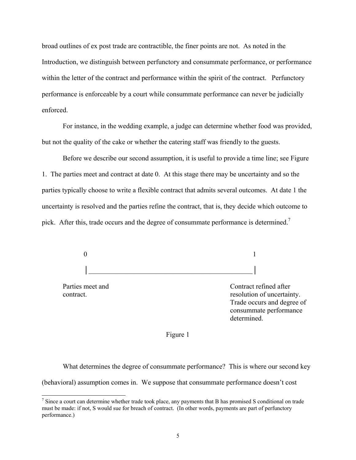broad outlines of ex post trade are contractible, the finer points are not. As noted in the Introduction, we distinguish between perfunctory and consummate performance, or performance within the letter of the contract and performance within the spirit of the contract. Perfunctory performance is enforceable by a court while consummate performance can never be judicially enforced.

 For instance, in the wedding example, a judge can determine whether food was provided, but not the quality of the cake or whether the catering staff was friendly to the guests.

 Before we describe our second assumption, it is useful to provide a time line; see Figure 1. The parties meet and contract at date 0. At this stage there may be uncertainty and so the parties typically choose to write a flexible contract that admits several outcomes. At date 1 the uncertainty is resolved and the parties refine the contract, that is, they decide which outcome to pick. After this, trade occurs and the degree of consummate performance is determined.<sup>7</sup>

 0 1 │

Parties meet and Contract refined after contract. The contract contract contract contract. Trade occurs and degree of consummate performance determined.

#### Figure 1

 What determines the degree of consummate performance? This is where our second key (behavioral) assumption comes in. We suppose that consummate performance doesn't cost

<sup>&</sup>lt;sup>7</sup> Since a court can determine whether trade took place, any payments that B has promised S conditional on trade must be made: if not, S would sue for breach of contract. (In other words, payments are part of perfunctory performance.)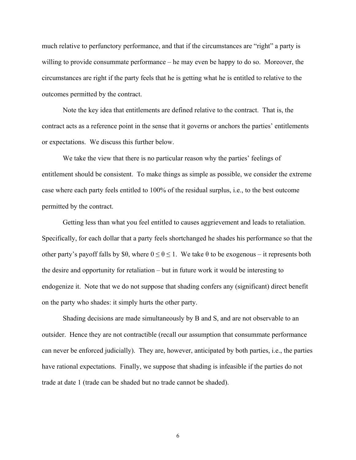much relative to perfunctory performance, and that if the circumstances are "right" a party is willing to provide consummate performance – he may even be happy to do so. Moreover, the circumstances are right if the party feels that he is getting what he is entitled to relative to the outcomes permitted by the contract.

 Note the key idea that entitlements are defined relative to the contract. That is, the contract acts as a reference point in the sense that it governs or anchors the parties' entitlements or expectations. We discuss this further below.

 We take the view that there is no particular reason why the parties' feelings of entitlement should be consistent. To make things as simple as possible, we consider the extreme case where each party feels entitled to 100% of the residual surplus, i.e., to the best outcome permitted by the contract.

 Getting less than what you feel entitled to causes aggrievement and leads to retaliation. Specifically, for each dollar that a party feels shortchanged he shades his performance so that the other party's payoff falls by \$θ, where  $0 \le \theta \le 1$ . We take  $\theta$  to be exogenous – it represents both the desire and opportunity for retaliation – but in future work it would be interesting to endogenize it. Note that we do not suppose that shading confers any (significant) direct benefit on the party who shades: it simply hurts the other party.

 Shading decisions are made simultaneously by B and S, and are not observable to an outsider. Hence they are not contractible (recall our assumption that consummate performance can never be enforced judicially). They are, however, anticipated by both parties, i.e., the parties have rational expectations. Finally, we suppose that shading is infeasible if the parties do not trade at date 1 (trade can be shaded but no trade cannot be shaded).

6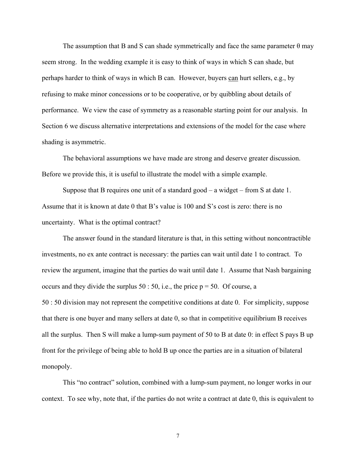The assumption that B and S can shade symmetrically and face the same parameter  $\theta$  may seem strong. In the wedding example it is easy to think of ways in which S can shade, but perhaps harder to think of ways in which B can. However, buyers can hurt sellers, e.g., by refusing to make minor concessions or to be cooperative, or by quibbling about details of performance. We view the case of symmetry as a reasonable starting point for our analysis. In Section 6 we discuss alternative interpretations and extensions of the model for the case where shading is asymmetric.

 The behavioral assumptions we have made are strong and deserve greater discussion. Before we provide this, it is useful to illustrate the model with a simple example.

Suppose that B requires one unit of a standard good  $-$  a widget  $-$  from S at date 1. Assume that it is known at date 0 that B's value is 100 and S's cost is zero: there is no uncertainty. What is the optimal contract?

 The answer found in the standard literature is that, in this setting without noncontractible investments, no ex ante contract is necessary: the parties can wait until date 1 to contract. To review the argument, imagine that the parties do wait until date 1. Assume that Nash bargaining occurs and they divide the surplus  $50 : 50$ , i.e., the price  $p = 50$ . Of course, a 50 : 50 division may not represent the competitive conditions at date 0. For simplicity, suppose that there is one buyer and many sellers at date 0, so that in competitive equilibrium B receives all the surplus. Then S will make a lump-sum payment of 50 to B at date 0: in effect S pays B up front for the privilege of being able to hold B up once the parties are in a situation of bilateral monopoly.

 This "no contract" solution, combined with a lump-sum payment, no longer works in our context. To see why, note that, if the parties do not write a contract at date 0, this is equivalent to

7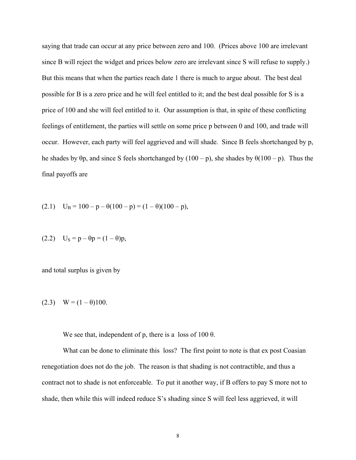saying that trade can occur at any price between zero and 100. (Prices above 100 are irrelevant since B will reject the widget and prices below zero are irrelevant since S will refuse to supply.) But this means that when the parties reach date 1 there is much to argue about. The best deal possible for B is a zero price and he will feel entitled to it; and the best deal possible for S is a price of 100 and she will feel entitled to it. Our assumption is that, in spite of these conflicting feelings of entitlement, the parties will settle on some price p between 0 and 100, and trade will occur. However, each party will feel aggrieved and will shade. Since B feels shortchanged by p, he shades by  $\theta$ p, and since S feels shortchanged by (100 – p), she shades by  $\theta$ (100 – p). Thus the final payoffs are

(2.1) 
$$
U_B = 100 - p - \theta(100 - p) = (1 - \theta)(100 - p),
$$

(2.2) 
$$
U_s = p - \theta p = (1 - \theta)p
$$
,

and total surplus is given by

(2.3) 
$$
W = (1 - \theta)100.
$$

We see that, independent of p, there is a loss of  $100 \theta$ .

What can be done to eliminate this loss? The first point to note is that ex post Coasian renegotiation does not do the job. The reason is that shading is not contractible, and thus a contract not to shade is not enforceable. To put it another way, if B offers to pay S more not to shade, then while this will indeed reduce S's shading since S will feel less aggrieved, it will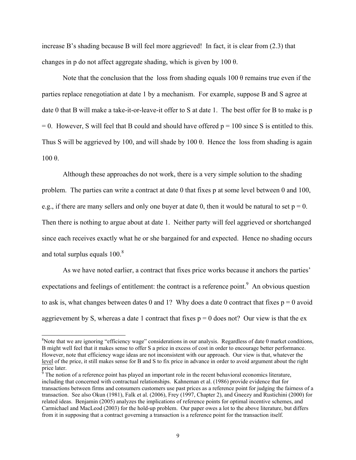increase B's shading because B will feel more aggrieved! In fact, it is clear from (2.3) that changes in p do not affect aggregate shading, which is given by 100 θ.

Note that the conclusion that the loss from shading equals 100  $\theta$  remains true even if the parties replace renegotiation at date 1 by a mechanism. For example, suppose B and S agree at date 0 that B will make a take-it-or-leave-it offer to S at date 1. The best offer for B to make is p  $= 0$ . However, S will feel that B could and should have offered  $p = 100$  since S is entitled to this. Thus S will be aggrieved by 100, and will shade by 100 θ. Hence the loss from shading is again 100 θ.

 Although these approaches do not work, there is a very simple solution to the shading problem. The parties can write a contract at date 0 that fixes p at some level between 0 and 100, e.g., if there are many sellers and only one buyer at date 0, then it would be natural to set  $p = 0$ . Then there is nothing to argue about at date 1. Neither party will feel aggrieved or shortchanged since each receives exactly what he or she bargained for and expected. Hence no shading occurs and total surplus equals  $100<sup>8</sup>$ 

 As we have noted earlier, a contract that fixes price works because it anchors the parties' expectations and feelings of entitlement: the contract is a reference point. $9$  An obvious question to ask is, what changes between dates 0 and 1? Why does a date 0 contract that fixes  $p = 0$  avoid aggrievement by S, whereas a date 1 contract that fixes  $p = 0$  does not? Our view is that the ex

 $\overline{a}$ 

<sup>&</sup>lt;sup>8</sup>Note that we are ignoring "efficiency wage" considerations in our analysis. Regardless of date 0 market conditions, B might well feel that it makes sense to offer S a price in excess of cost in order to encourage better performance. However, note that efficiency wage ideas are not inconsistent with our approach. Our view is that, whatever the level of the price, it still makes sense for B and S to fix price in advance in order to avoid argument about the right price later.<br><sup>9</sup> The notic

The notion of a reference point has played an important role in the recent behavioral economics literature, including that concerned with contractual relationships. Kahneman et al. (1986) provide evidence that for transactions between firms and consumers customers use past prices as a reference point for judging the fairness of a transaction. See also Okun (1981), Falk et al. (2006), Frey (1997, Chapter 2), and Gneezy and Rustichini (2000) for related ideas. Benjamin (2005) analyzes the implications of reference points for optimal incentive schemes, and Carmichael and MacLeod (2003) for the hold-up problem. Our paper owes a lot to the above literature, but differs from it in supposing that a contract governing a transaction is a reference point for the transaction itself.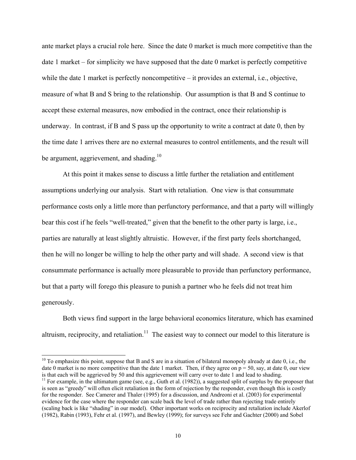ante market plays a crucial role here. Since the date 0 market is much more competitive than the date 1 market – for simplicity we have supposed that the date 0 market is perfectly competitive while the date 1 market is perfectly noncompetitive – it provides an external, i.e., objective, measure of what B and S bring to the relationship. Our assumption is that B and S continue to accept these external measures, now embodied in the contract, once their relationship is underway. In contrast, if B and S pass up the opportunity to write a contract at date 0, then by the time date 1 arrives there are no external measures to control entitlements, and the result will be argument, aggrievement, and shading.<sup>10</sup>

 At this point it makes sense to discuss a little further the retaliation and entitlement assumptions underlying our analysis. Start with retaliation. One view is that consummate performance costs only a little more than perfunctory performance, and that a party will willingly bear this cost if he feels "well-treated," given that the benefit to the other party is large, i.e., parties are naturally at least slightly altruistic. However, if the first party feels shortchanged, then he will no longer be willing to help the other party and will shade. A second view is that consummate performance is actually more pleasurable to provide than perfunctory performance, but that a party will forego this pleasure to punish a partner who he feels did not treat him generously.

 Both views find support in the large behavioral economics literature, which has examined altruism, reciprocity, and retaliation.<sup>11</sup> The easiest way to connect our model to this literature is

l

 $10$  To emphasize this point, suppose that B and S are in a situation of bilateral monopoly already at date 0, i.e., the date 0 market is no more competitive than the date 1 market. Then, if they agree on  $p = 50$ , say, at date 0, our view is that each will be aggrieved by 50 and this aggrievement will carry over to date 1 and lead to shadin

<sup>&</sup>lt;sup>11</sup> For example, in the ultimatum game (see, e.g., Guth et al. (1982)), a suggested split of surplus by the proposer that is seen as "greedy" will often elicit retaliation in the form of rejection by the responder, even though this is costly for the responder. See Camerer and Thaler (1995) for a discussion, and Andreoni et al. (2003) for experimental evidence for the case where the responder can scale back the level of trade rather than rejecting trade entirely (scaling back is like "shading" in our model). Other important works on reciprocity and retaliation include Akerlof (1982), Rabin (1993), Fehr et al. (1997), and Bewley (1999); for surveys see Fehr and Gachter (2000) and Sobel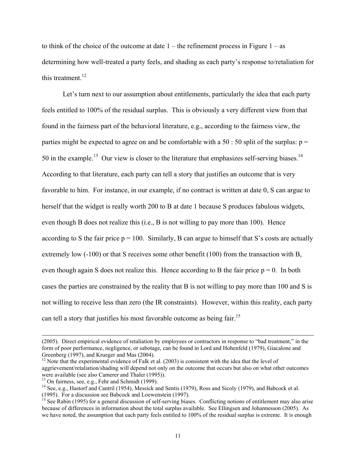to think of the choice of the outcome at date  $1$  – the refinement process in Figure  $1 - as$ determining how well-treated a party feels, and shading as each party's response to/retaliation for this treatment. $12$ 

 Let's turn next to our assumption about entitlements, particularly the idea that each party feels entitled to 100% of the residual surplus. This is obviously a very different view from that found in the fairness part of the behavioral literature, e.g., according to the fairness view, the parties might be expected to agree on and be comfortable with a 50 : 50 split of the surplus:  $p =$ 50 in the example.<sup>13</sup> Our view is closer to the literature that emphasizes self-serving biases.<sup>14</sup> According to that literature, each party can tell a story that justifies an outcome that is very favorable to him. For instance, in our example, if no contract is written at date 0, S can argue to herself that the widget is really worth 200 to B at date 1 because S produces fabulous widgets, even though B does not realize this (i.e., B is not willing to pay more than 100). Hence according to S the fair price  $p = 100$ . Similarly, B can argue to himself that S's costs are actually extremely low (-100) or that S receives some other benefit (100) from the transaction with B, even though again S does not realize this. Hence according to B the fair price  $p = 0$ . In both cases the parties are constrained by the reality that B is not willing to pay more than 100 and S is not willing to receive less than zero (the IR constraints). However, within this reality, each party can tell a story that justifies his most favorable outcome as being fair.<sup>15</sup>

 $\overline{a}$ 

<sup>(2005).</sup> Direct empirical evidence of retaliation by employees or contractors in response to "bad treatment," in the form of poor performance, negligence, or sabotage, can be found in Lord and Hohenfeld (1979), Giacalone and Greenberg (1997), and Krueger and Mas (2004).

<sup>&</sup>lt;sup>12</sup> Note that the experimental evidence of Falk et al. (2003) is consistent with the idea that the level of aggrievement/retaliation/shading will depend not only on the outcome that occurs but also on what other outcomes were available (see also Camerer and Thaler (1995)).

 $13$  On fairness, see, e.g., Fehr and Schmidt (1999).

<sup>&</sup>lt;sup>14</sup> See, e.g., Hastorf and Cantril (1954), Messick and Sentis (1979), Ross and Sicoly (1979), and Babcock et al.

<sup>(1995).</sup> For a discussion see Babcock and Loewenstein (1997).

<sup>&</sup>lt;sup>15</sup> See Rabin (1995) for a general discussion of self-serving biases. Conflicting notions of entitlement may also arise because of differences in information about the total surplus available. See Ellingsen and Johannesson (2005). As we have noted, the assumption that each party feels entitled to 100% of the residual surplus is extreme. It is enough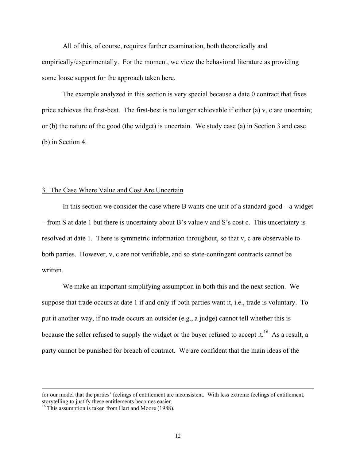All of this, of course, requires further examination, both theoretically and empirically/experimentally. For the moment, we view the behavioral literature as providing some loose support for the approach taken here.

 The example analyzed in this section is very special because a date 0 contract that fixes price achieves the first-best. The first-best is no longer achievable if either (a) v, c are uncertain; or (b) the nature of the good (the widget) is uncertain. We study case (a) in Section 3 and case (b) in Section 4.

## 3. The Case Where Value and Cost Are Uncertain

 In this section we consider the case where B wants one unit of a standard good – a widget – from S at date 1 but there is uncertainty about B's value v and S's cost c. This uncertainty is resolved at date 1. There is symmetric information throughout, so that v, c are observable to both parties. However, v, c are not verifiable, and so state-contingent contracts cannot be written.

 We make an important simplifying assumption in both this and the next section. We suppose that trade occurs at date 1 if and only if both parties want it, i.e., trade is voluntary. To put it another way, if no trade occurs an outsider (e.g., a judge) cannot tell whether this is because the seller refused to supply the widget or the buyer refused to accept it.<sup>16</sup> As a result, a party cannot be punished for breach of contract. We are confident that the main ideas of the

 $\overline{a}$ 

for our model that the parties' feelings of entitlement are inconsistent. With less extreme feelings of entitlement, storytelling to justify these entitlements becomes easier.

<sup>&</sup>lt;sup>16</sup> This assumption is taken from Hart and Moore (1988).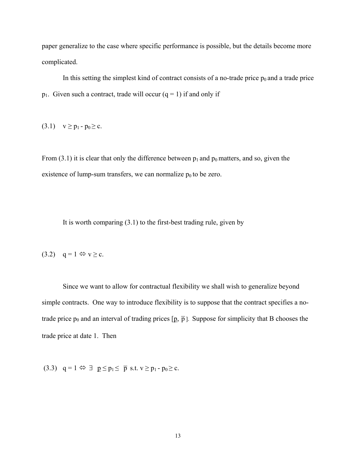paper generalize to the case where specific performance is possible, but the details become more complicated.

In this setting the simplest kind of contract consists of a no-trade price  $p_0$  and a trade price  $p_1$ . Given such a contract, trade will occur (q = 1) if and only if

(3.1)  $v \ge p_1 - p_0 \ge c$ .

From (3.1) it is clear that only the difference between  $p_1$  and  $p_0$  matters, and so, given the existence of lump-sum transfers, we can normalize  $p_0$  to be zero.

It is worth comparing  $(3.1)$  to the first-best trading rule, given by

$$
(3.2) \quad q=1 \Leftrightarrow v \geq c.
$$

 Since we want to allow for contractual flexibility we shall wish to generalize beyond simple contracts. One way to introduce flexibility is to suppose that the contract specifies a notrade price  $p_0$  and an interval of trading prices  $[p, \bar{p}]$ . Suppose for simplicity that B chooses the trade price at date 1. Then

(3.3)  $q = 1 \Leftrightarrow \exists p \leq p_1 \leq \overline{p}$  s.t.  $v \geq p_1 - p_0 \geq c$ .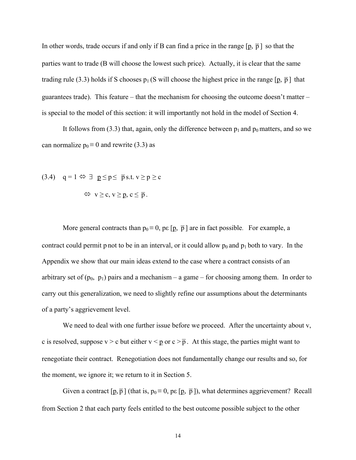In other words, trade occurs if and only if B can find a price in the range  $[p, \bar{p}]$  so that the parties want to trade (B will choose the lowest such price). Actually, it is clear that the same trading rule (3.3) holds if S chooses  $p_1$  (S will choose the highest price in the range  $[p, \bar{p}]$  that guarantees trade). This feature – that the mechanism for choosing the outcome doesn't matter – is special to the model of this section: it will importantly not hold in the model of Section 4.

It follows from (3.3) that, again, only the difference between  $p_1$  and  $p_0$  matters, and so we can normalize  $p_0 \equiv 0$  and rewrite (3.3) as

(3.4) 
$$
q = 1 \Leftrightarrow \exists p \leq p \leq \overline{p} \text{ s.t. } v \geq p \geq c
$$
  
 $\Leftrightarrow v \geq c, v \geq p, c \leq \overline{p}$ .

More general contracts than  $p_0 = 0$ , pe  $[\underline{p}, \overline{p}]$  are in fact possible. For example, a contract could permit p not to be in an interval, or it could allow  $p_0$  and  $p_1$  both to vary. In the Appendix we show that our main ideas extend to the case where a contract consists of an arbitrary set of  $(p_0, p_1)$  pairs and a mechanism – a game – for choosing among them. In order to carry out this generalization, we need to slightly refine our assumptions about the determinants of a party's aggrievement level.

We need to deal with one further issue before we proceed. After the uncertainty about v, c is resolved, suppose  $v > c$  but either  $v < p$  or  $c > \overline{p}$ . At this stage, the parties might want to renegotiate their contract. Renegotiation does not fundamentally change our results and so, for the moment, we ignore it; we return to it in Section 5.

Given a contract  $[p, \overline{p}]$  (that is,  $p_0 \equiv 0$ , ps  $[p, \overline{p}]$ ), what determines aggrievement? Recall from Section 2 that each party feels entitled to the best outcome possible subject to the other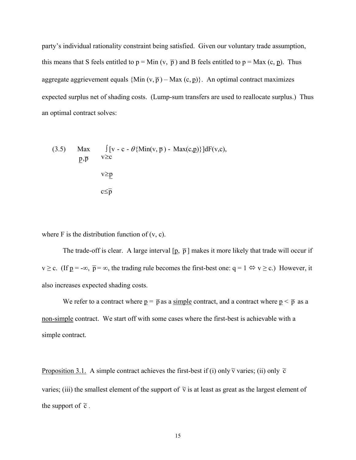party's individual rationality constraint being satisfied. Given our voluntary trade assumption, this means that S feels entitled to  $p = Min (v, \bar{p})$  and B feels entitled to  $p = Max (c, p)$ . Thus aggregate aggrievement equals  $\{Min(v, \overline{p}) - Max(c, p)\}\$ . An optimal contract maximizes expected surplus net of shading costs. (Lump-sum transfers are used to reallocate surplus.) Thus an optimal contract solves:

(3.5) Max 
$$
\int [v - c - \theta \{Min(v, \overline{p}) - Max(c, \underline{p})\}]dF(v, c),
$$
  
\n $\underline{p}, \overline{p}$   $v \ge \underline{p}$   
\n $c \le \overline{p}$ 

where  $F$  is the distribution function of  $(v, c)$ .

The trade-off is clear. A large interval  $[p, \bar{p}]$  makes it more likely that trade will occur if  $v \ge c$ . (If  $p = -\infty$ ,  $\bar{p} = \infty$ , the trading rule becomes the first-best one: q = 1  $\Leftrightarrow v \ge c$ .) However, it also increases expected shading costs.

We refer to a contract where  $p = \bar{p}$  as a simple contract, and a contract where  $p \leq \bar{p}$  as a non-simple contract. We start off with some cases where the first-best is achievable with a simple contract.

Proposition 3.1. A simple contract achieves the first-best if (i) only  $\tilde{v}$  varies; (ii) only  $\tilde{c}$ varies; (iii) the smallest element of the support of  $\tilde{v}$  is at least as great as the largest element of the support of  $\tilde{c}$ .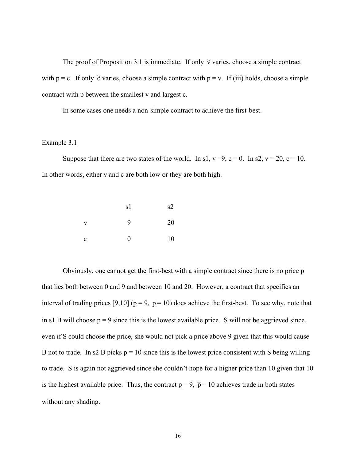The proof of Proposition 3.1 is immediate. If only  $\tilde{v}$  varies, choose a simple contract with  $p = c$ . If only  $\tilde{c}$  varies, choose a simple contract with  $p = v$ . If (iii) holds, choose a simple contract with p between the smallest v and largest c.

In some cases one needs a non-simple contract to achieve the first-best.

### Example 3.1

Suppose that there are two states of the world. In s1,  $v = 9$ ,  $c = 0$ . In s2,  $v = 20$ ,  $c = 10$ . In other words, either v and c are both low or they are both high.

|              | s1       | s2 |
|--------------|----------|----|
| $\mathbf{V}$ | 9        | 20 |
| c            | $\Omega$ | 10 |

 Obviously, one cannot get the first-best with a simple contract since there is no price p that lies both between 0 and 9 and between 10 and 20. However, a contract that specifies an interval of trading prices [9,10] ( $p = 9$ ,  $\bar{p} = 10$ ) does achieve the first-best. To see why, note that in s1 B will choose  $p = 9$  since this is the lowest available price. S will not be aggrieved since, even if S could choose the price, she would not pick a price above 9 given that this would cause B not to trade. In s2 B picks  $p = 10$  since this is the lowest price consistent with S being willing to trade. S is again not aggrieved since she couldn't hope for a higher price than 10 given that 10 is the highest available price. Thus, the contract  $p = 9$ ,  $\bar{p} = 10$  achieves trade in both states without any shading.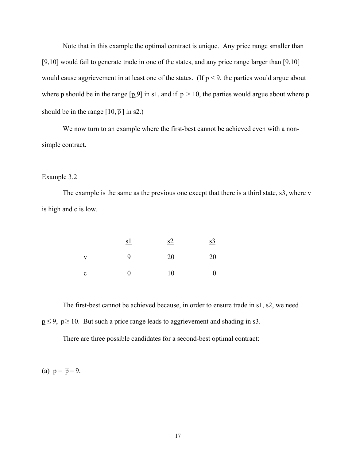Note that in this example the optimal contract is unique. Any price range smaller than [9,10] would fail to generate trade in one of the states, and any price range larger than [9,10] would cause aggrievement in at least one of the states. (If  $p < 9$ , the parties would argue about where p should be in the range  $[p,9]$  in s1, and if  $\bar{p} > 10$ , the parties would argue about where p should be in the range  $[10, \overline{p}]$  in s2.)

 We now turn to an example where the first-best cannot be achieved even with a nonsimple contract.

## Example 3.2

 The example is the same as the previous one except that there is a third state, s3, where v is high and c is low.

|              | <u>s1</u> | s2 | $\underline{s3}$ |
|--------------|-----------|----|------------------|
| $\mathbf{V}$ | 9         | 20 | 20               |
| C            | $\Omega$  | 10 | $\boldsymbol{0}$ |

 The first-best cannot be achieved because, in order to ensure trade in s1, s2, we need  $p \le 9$ ,  $\bar{p} \ge 10$ . But such a price range leads to aggrievement and shading in s3.

There are three possible candidates for a second-best optimal contract:

(a)  $p = \overline{p} = 9$ .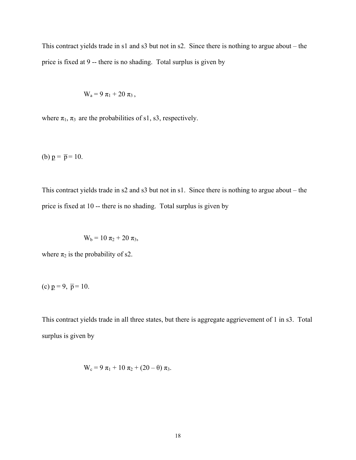This contract yields trade in s1 and s3 but not in s2. Since there is nothing to argue about – the price is fixed at 9 -- there is no shading. Total surplus is given by

$$
W_a = 9 \pi_1 + 20 \pi_3,
$$

where  $\pi_1$ ,  $\pi_3$  are the probabilities of s1, s3, respectively.

(b)  $p = \bar{p} = 10$ .

This contract yields trade in s2 and s3 but not in s1. Since there is nothing to argue about – the price is fixed at 10 -- there is no shading. Total surplus is given by

$$
W_b = 10 \pi_2 + 20 \pi_3,
$$

where  $\pi_2$  is the probability of s2.

(c) 
$$
p = 9, \bar{p} = 10.
$$

This contract yields trade in all three states, but there is aggregate aggrievement of 1 in s3. Total surplus is given by

$$
W_c = 9 \pi_1 + 10 \pi_2 + (20 - \theta) \pi_3.
$$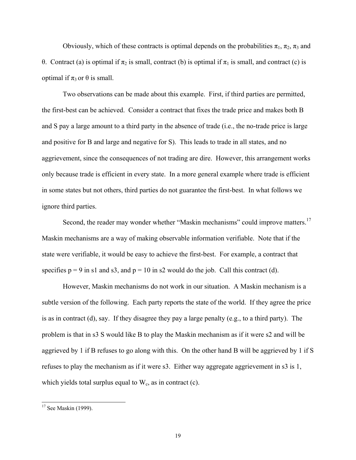Obviously, which of these contracts is optimal depends on the probabilities  $\pi_1$ ,  $\pi_2$ ,  $\pi_3$  and θ. Contract (a) is optimal if  $\pi_2$  is small, contract (b) is optimal if  $\pi_1$  is small, and contract (c) is optimal if  $π_3$  or  $θ$  is small.

 Two observations can be made about this example. First, if third parties are permitted, the first-best can be achieved. Consider a contract that fixes the trade price and makes both B and S pay a large amount to a third party in the absence of trade (i.e., the no-trade price is large and positive for B and large and negative for S). This leads to trade in all states, and no aggrievement, since the consequences of not trading are dire. However, this arrangement works only because trade is efficient in every state. In a more general example where trade is efficient in some states but not others, third parties do not guarantee the first-best. In what follows we ignore third parties.

Second, the reader may wonder whether "Maskin mechanisms" could improve matters.<sup>17</sup> Maskin mechanisms are a way of making observable information verifiable. Note that if the state were verifiable, it would be easy to achieve the first-best. For example, a contract that specifies  $p = 9$  in s1 and s3, and  $p = 10$  in s2 would do the job. Call this contract (d).

 However, Maskin mechanisms do not work in our situation. A Maskin mechanism is a subtle version of the following. Each party reports the state of the world. If they agree the price is as in contract (d), say. If they disagree they pay a large penalty (e.g., to a third party). The problem is that in s3 S would like B to play the Maskin mechanism as if it were s2 and will be aggrieved by 1 if B refuses to go along with this. On the other hand B will be aggrieved by 1 if S refuses to play the mechanism as if it were s3. Either way aggregate aggrievement in s3 is 1, which yields total surplus equal to  $W_c$ , as in contract (c).

 $\overline{a}$ 

 $17$  See Maskin (1999).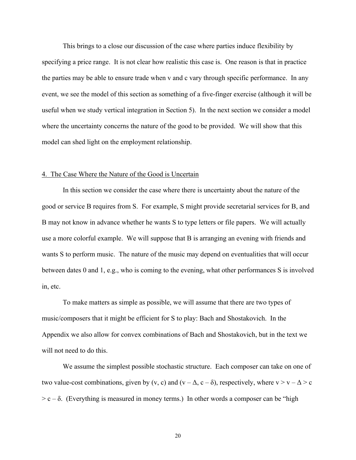This brings to a close our discussion of the case where parties induce flexibility by specifying a price range. It is not clear how realistic this case is. One reason is that in practice the parties may be able to ensure trade when v and c vary through specific performance. In any event, we see the model of this section as something of a five-finger exercise (although it will be useful when we study vertical integration in Section 5). In the next section we consider a model where the uncertainty concerns the nature of the good to be provided. We will show that this model can shed light on the employment relationship.

#### 4. The Case Where the Nature of the Good is Uncertain

 In this section we consider the case where there is uncertainty about the nature of the good or service B requires from S. For example, S might provide secretarial services for B, and B may not know in advance whether he wants S to type letters or file papers. We will actually use a more colorful example. We will suppose that B is arranging an evening with friends and wants S to perform music. The nature of the music may depend on eventualities that will occur between dates 0 and 1, e.g., who is coming to the evening, what other performances S is involved in, etc.

 To make matters as simple as possible, we will assume that there are two types of music/composers that it might be efficient for S to play: Bach and Shostakovich. In the Appendix we also allow for convex combinations of Bach and Shostakovich, but in the text we will not need to do this.

 We assume the simplest possible stochastic structure. Each composer can take on one of two value-cost combinations, given by (v, c) and (v –  $\Delta$ , c –  $\delta$ ), respectively, where v > v –  $\Delta$  > c  $> c - \delta$ . (Everything is measured in money terms.) In other words a composer can be "high

20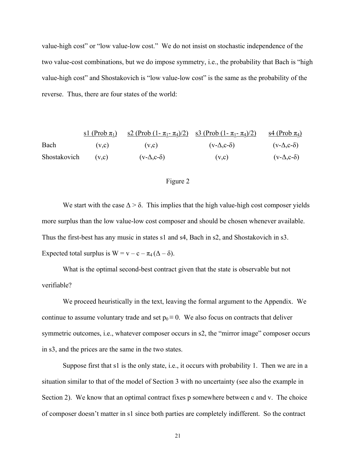value-high cost" or "low value-low cost." We do not insist on stochastic independence of the two value-cost combinations, but we do impose symmetry, i.e., the probability that Bach is "high value-high cost" and Shostakovich is "low value-low cost" is the same as the probability of the reverse. Thus, there are four states of the world:

| sl (Prob $\pi_1$ ) | s2 (Prob (1- $\pi_1$ - $\pi_4$ )/2) | s3 (Prob (1- $\pi_1$ - $\pi_4$ )/2) | s4 (Prob $\pi_4$ )          |                             |
|--------------------|-------------------------------------|-------------------------------------|-----------------------------|-----------------------------|
| Each               | (v,c)                               | (v,c)                               | (v- $\Delta$ ,c- $\delta$ ) | (v- $\Delta$ ,c- $\delta$ ) |
| Shostakovich       | (v,c)                               | (v- $\Delta$ ,c- $\delta$ )         | (v,c)                       | (v- $\Delta$ ,c- $\delta$ ) |

### Figure 2

We start with the case  $\Delta > \delta$ . This implies that the high value-high cost composer yields more surplus than the low value-low cost composer and should be chosen whenever available. Thus the first-best has any music in states s1 and s4, Bach in s2, and Shostakovich in s3. Expected total surplus is  $W = v - c - \pi_4 (\Delta - \delta)$ .

 What is the optimal second-best contract given that the state is observable but not verifiable?

 We proceed heuristically in the text, leaving the formal argument to the Appendix. We continue to assume voluntary trade and set  $p_0 \equiv 0$ . We also focus on contracts that deliver symmetric outcomes, i.e., whatever composer occurs in s2, the "mirror image" composer occurs in s3, and the prices are the same in the two states.

Suppose first that s1 is the only state, i.e., it occurs with probability 1. Then we are in a situation similar to that of the model of Section 3 with no uncertainty (see also the example in Section 2). We know that an optimal contract fixes p somewhere between c and v. The choice of composer doesn't matter in s1 since both parties are completely indifferent. So the contract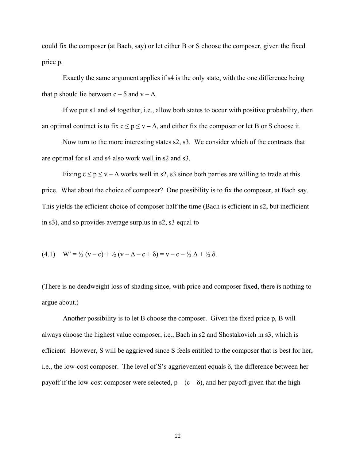could fix the composer (at Bach, say) or let either B or S choose the composer, given the fixed price p.

 Exactly the same argument applies if s4 is the only state, with the one difference being that p should lie between  $c - \delta$  and  $v - \Delta$ .

 If we put s1 and s4 together, i.e., allow both states to occur with positive probability, then an optimal contract is to fix  $c \le p \le v - \Delta$ , and either fix the composer or let B or S choose it.

 Now turn to the more interesting states s2, s3. We consider which of the contracts that are optimal for s1 and s4 also work well in s2 and s3.

Fixing  $c \le p \le v - \Delta$  works well in s2, s3 since both parties are willing to trade at this price. What about the choice of composer? One possibility is to fix the composer, at Bach say. This yields the efficient choice of composer half the time (Bach is efficient in s2, but inefficient in s3), and so provides average surplus in s2, s3 equal to

(4.1) 
$$
W' = \frac{1}{2}(v - c) + \frac{1}{2}(v - \Delta - c + \delta) = v - c - \frac{1}{2}\Delta + \frac{1}{2}\delta
$$
.

(There is no deadweight loss of shading since, with price and composer fixed, there is nothing to argue about.)

 Another possibility is to let B choose the composer. Given the fixed price p, B will always choose the highest value composer, i.e., Bach in s2 and Shostakovich in s3, which is efficient. However, S will be aggrieved since S feels entitled to the composer that is best for her, i.e., the low-cost composer. The level of S's aggrievement equals δ, the difference between her payoff if the low-cost composer were selected,  $p - (c - \delta)$ , and her payoff given that the high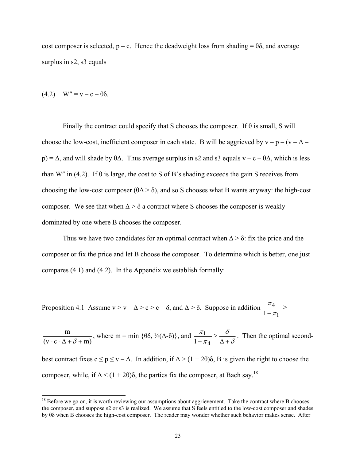cost composer is selected,  $p - c$ . Hence the deadweight loss from shading =  $\theta\delta$ , and average surplus in s2, s3 equals

$$
(4.2) \quad W'' = v - c - \theta \delta.
$$

l

Finally the contract could specify that S chooses the composer. If  $\theta$  is small, S will choose the low-cost, inefficient composer in each state. B will be aggrieved by  $v - p - (v - \Delta$ p) =  $\Delta$ , and will shade by  $\theta \Delta$ . Thus average surplus in s2 and s3 equals v – c –  $\theta \Delta$ , which is less than W" in (4.2). If  $\theta$  is large, the cost to S of B's shading exceeds the gain S receives from choosing the low-cost composer ( $\theta \Delta > \delta$ ), and so S chooses what B wants anyway: the high-cost composer. We see that when  $\Delta > \delta$  a contract where S chooses the composer is weakly dominated by one where B chooses the composer.

Thus we have two candidates for an optimal contract when  $\Delta > \delta$ : fix the price and the composer or fix the price and let B choose the composer. To determine which is better, one just compares (4.1) and (4.2). In the Appendix we establish formally:

Proposition 4.1 Assume  $v > v - \Delta > c > c - \delta$ , and  $\Delta > \delta$ . Suppose in addition 1 4  $1 - \pi$  $\frac{\pi_4}{-\pi_1} \ge$ 

 $(v - c - \Delta + \delta + m)$ m  $\frac{m}{\Delta + \delta + m}$ , where m = min {θδ, ½( $\Delta$ -δ)}, and  $\frac{\pi_1}{1 - \pi_4} \ge \frac{\delta}{\Delta + \delta}$ π π  $rac{\pi_1}{1-\pi_4} \ge \frac{\delta}{\Delta+\delta}$ . Then the optimal secondbest contract fixes  $c \le p \le v - \Delta$ . In addition, if  $\Delta > (1 + 2\theta)\delta$ , B is given the right to choose the composer, while, if  $\Delta < (1 + 2\theta)\delta$ , the parties fix the composer, at Bach say.<sup>18</sup>

 $18$  Before we go on, it is worth reviewing our assumptions about aggrievement. Take the contract where B chooses the composer, and suppose s2 or s3 is realized. We assume that S feels entitled to the low-cost composer and shades by θδ when B chooses the high-cost composer. The reader may wonder whether such behavior makes sense. After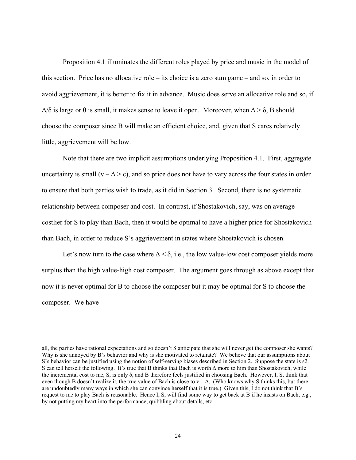Proposition 4.1 illuminates the different roles played by price and music in the model of this section. Price has no allocative role – its choice is a zero sum game – and so, in order to avoid aggrievement, it is better to fix it in advance. Music does serve an allocative role and so, if  $\Delta/\delta$  is large or  $\theta$  is small, it makes sense to leave it open. Moreover, when  $\Delta > \delta$ , B should choose the composer since B will make an efficient choice, and, given that S cares relatively little, aggrievement will be low.

 Note that there are two implicit assumptions underlying Proposition 4.1. First, aggregate uncertainty is small  $(v - \Delta > c)$ , and so price does not have to vary across the four states in order to ensure that both parties wish to trade, as it did in Section 3. Second, there is no systematic relationship between composer and cost. In contrast, if Shostakovich, say, was on average costlier for S to play than Bach, then it would be optimal to have a higher price for Shostakovich than Bach, in order to reduce S's aggrievement in states where Shostakovich is chosen.

Let's now turn to the case where  $\Delta < \delta$ , i.e., the low value-low cost composer yields more surplus than the high value-high cost composer. The argument goes through as above except that now it is never optimal for B to choose the composer but it may be optimal for S to choose the composer. We have

 $\overline{a}$ 

all, the parties have rational expectations and so doesn't S anticipate that she will never get the composer she wants? Why is she annoyed by B's behavior and why is she motivated to retaliate? We believe that our assumptions about S's behavior can be justified using the notion of self-serving biases described in Section 2. Suppose the state is s2. S can tell herself the following. It's true that B thinks that Bach is worth Δ more to him than Shostakovich, while the incremental cost to me, S, is only  $\delta$ , and B therefore feels justified in choosing Bach. However, I, S, think that even though B doesn't realize it, the true value of Bach is close to  $v - \Delta$ . (Who knows why S thinks this, but there are undoubtedly many ways in which she can convince herself that it is true.) Given this, I do not think that B's request to me to play Bach is reasonable. Hence I, S, will find some way to get back at B if he insists on Bach, e.g., by not putting my heart into the performance, quibbling about details, etc.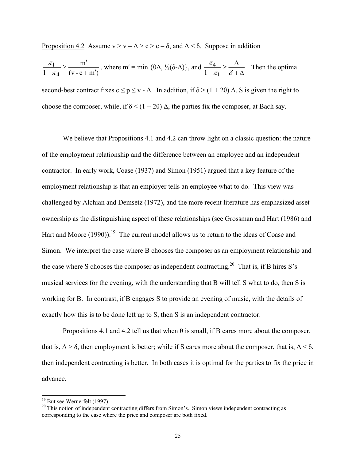Proposition 4.2 Assume  $v > v - \Delta > c > c - \delta$ , and  $\Delta < \delta$ . Suppose in addition

$$
\frac{\pi_1}{1 - \pi_4} \ge \frac{m'}{(v - c + m')}
$$
, where  $m' = \min \{\theta \Delta, \frac{1}{2}(\delta - \Delta)\}$ , and  $\frac{\pi_4}{1 - \pi_1} \ge \frac{\Delta}{\delta + \Delta}$ . Then the optimal second-best contract fixes  $c \le p \le v - \Delta$ . In addition, if  $\delta > (1 + 2\theta) \Delta$ , S is given the right to choose the composer, while, if  $\delta < (1 + 2\theta) \Delta$ , the parties fix the composer, at Bach say.

We believe that Propositions 4.1 and 4.2 can throw light on a classic question: the nature of the employment relationship and the difference between an employee and an independent contractor. In early work, Coase (1937) and Simon (1951) argued that a key feature of the employment relationship is that an employer tells an employee what to do. This view was challenged by Alchian and Demsetz (1972), and the more recent literature has emphasized asset ownership as the distinguishing aspect of these relationships (see Grossman and Hart (1986) and Hart and Moore  $(1990)$ .<sup>19</sup> The current model allows us to return to the ideas of Coase and Simon. We interpret the case where B chooses the composer as an employment relationship and the case where S chooses the composer as independent contracting.<sup>20</sup> That is, if B hires S's musical services for the evening, with the understanding that B will tell S what to do, then S is working for B. In contrast, if B engages S to provide an evening of music, with the details of exactly how this is to be done left up to S, then S is an independent contractor.

Propositions 4.1 and 4.2 tell us that when  $\theta$  is small, if B cares more about the composer, that is,  $\Delta > \delta$ , then employment is better; while if S cares more about the composer, that is,  $\Delta < \delta$ , then independent contracting is better. In both cases it is optimal for the parties to fix the price in advance.

l

 $19$  But see Wernerfelt (1997).

<sup>&</sup>lt;sup>20</sup> This notion of independent contracting differs from Simon's. Simon views independent contracting as corresponding to the case where the price and composer are both fixed.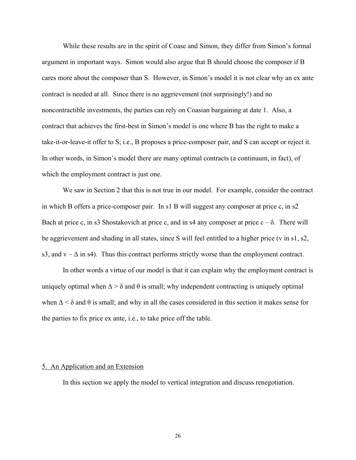While these results are in the spirit of Coase and Simon, they differ from Simon's formal argument in important ways. Simon would also argue that B should choose the composer if B cares more about the composer than S. However, in Simon's model it is not clear why an ex ante contract is needed at all. Since there is no aggrievement (not surprisingly!) and no noncontractible investments, the parties can rely on Coasian bargaining at date 1. Also, a contract that achieves the first-best in Simon's model is one where B has the right to make a take-it-or-leave-it offer to S; i.e., B proposes a price-composer pair, and S can accept or reject it. In other words, in Simon's model there are many optimal contracts (a continuum, in fact), of which the employment contract is just one.

 We saw in Section 2 that this is not true in our model. For example, consider the contract in which B offers a price-composer pair. In s1 B will suggest any composer at price c, in s2 Bach at price c, in s3 Shostakovich at price c, and in s4 any composer at price  $c - \delta$ . There will be aggrievement and shading in all states, since S will feel entitled to a higher price (v in s1, s2, s3, and  $v - \Delta$  in s4). Thus this contract performs strictly worse than the employment contract.

 In other words a virtue of our model is that it can explain why the employment contract is uniquely optimal when  $\Delta > \delta$  and  $\theta$  is small; why independent contracting is uniquely optimal when  $\Delta < \delta$  and  $\theta$  is small; and why in all the cases considered in this section it makes sense for the parties to fix price ex ante, i.e., to take price off the table.

## 5. An Application and an Extension

In this section we apply the model to vertical integration and discuss renegotiation.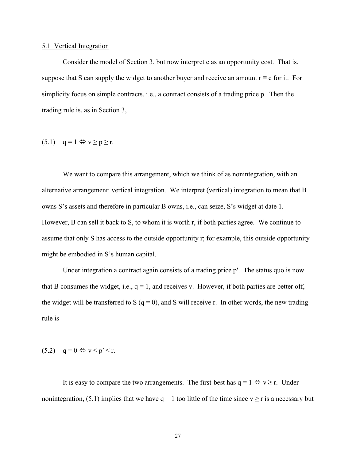#### 5.1 Vertical Integration

 Consider the model of Section 3, but now interpret c as an opportunity cost. That is, suppose that S can supply the widget to another buyer and receive an amount  $r \equiv c$  for it. For simplicity focus on simple contracts, i.e., a contract consists of a trading price p. Then the trading rule is, as in Section 3,

# $(5.1)$  q = 1  $\Leftrightarrow$  v  $\ge$  p  $\ge$  r.

We want to compare this arrangement, which we think of as nonintegration, with an alternative arrangement: vertical integration. We interpret (vertical) integration to mean that B owns S's assets and therefore in particular B owns, i.e., can seize, S's widget at date 1. However, B can sell it back to S, to whom it is worth r, if both parties agree. We continue to assume that only S has access to the outside opportunity r; for example, this outside opportunity might be embodied in S's human capital.

Under integration a contract again consists of a trading price p'. The status quo is now that B consumes the widget, i.e.,  $q = 1$ , and receives v. However, if both parties are better off, the widget will be transferred to S  $(q = 0)$ , and S will receive r. In other words, the new trading rule is

$$
(5.2) \quad q = 0 \Leftrightarrow v \le p' \le r.
$$

It is easy to compare the two arrangements. The first-best has  $q = 1 \Leftrightarrow v \ge r$ . Under nonintegration, (5.1) implies that we have  $q = 1$  too little of the time since  $v \ge r$  is a necessary but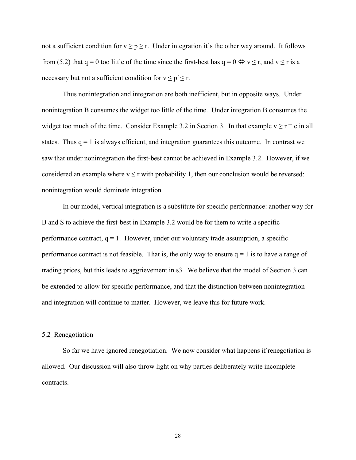not a sufficient condition for  $v \ge p \ge r$ . Under integration it's the other way around. It follows from (5.2) that q = 0 too little of the time since the first-best has  $q = 0 \Leftrightarrow v \le r$ , and  $v \le r$  is a necessary but not a sufficient condition for  $v \le p' \le r$ .

 Thus nonintegration and integration are both inefficient, but in opposite ways. Under nonintegration B consumes the widget too little of the time. Under integration B consumes the widget too much of the time. Consider Example 3.2 in Section 3. In that example  $v \ge r \equiv c$  in all states. Thus  $q = 1$  is always efficient, and integration guarantees this outcome. In contrast we saw that under nonintegration the first-best cannot be achieved in Example 3.2. However, if we considered an example where  $v \le r$  with probability 1, then our conclusion would be reversed: nonintegration would dominate integration.

 In our model, vertical integration is a substitute for specific performance: another way for B and S to achieve the first-best in Example 3.2 would be for them to write a specific performance contract,  $q = 1$ . However, under our voluntary trade assumption, a specific performance contract is not feasible. That is, the only way to ensure  $q = 1$  is to have a range of trading prices, but this leads to aggrievement in s3. We believe that the model of Section 3 can be extended to allow for specific performance, and that the distinction between nonintegration and integration will continue to matter. However, we leave this for future work.

#### 5.2 Renegotiation

 So far we have ignored renegotiation. We now consider what happens if renegotiation is allowed. Our discussion will also throw light on why parties deliberately write incomplete contracts.

28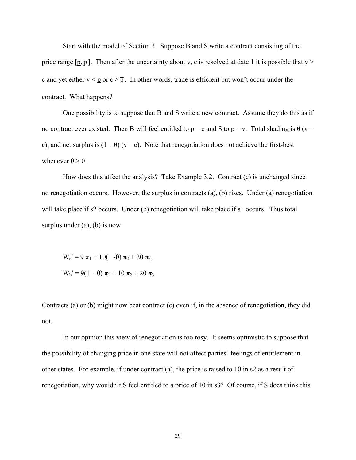Start with the model of Section 3. Suppose B and S write a contract consisting of the price range  $[p, \overline{p}]$ . Then after the uncertainty about v, c is resolved at date 1 it is possible that v > c and yet either  $v < p$  or  $c > \bar{p}$ . In other words, trade is efficient but won't occur under the contract. What happens?

 One possibility is to suppose that B and S write a new contract. Assume they do this as if no contract ever existed. Then B will feel entitled to  $p = c$  and S to  $p = v$ . Total shading is  $\theta$  (v – c), and net surplus is  $(1 - \theta)$  (v – c). Note that renegotiation does not achieve the first-best whenever  $\theta > 0$ .

 How does this affect the analysis? Take Example 3.2. Contract (c) is unchanged since no renegotiation occurs. However, the surplus in contracts (a), (b) rises. Under (a) renegotiation will take place if s2 occurs. Under (b) renegotiation will take place if s1 occurs. Thus total surplus under  $(a)$ ,  $(b)$  is now

W<sub>a</sub>' = 9  $\pi_1$  + 10(1 - θ)  $\pi_2$  + 20  $\pi_3$ ,  $W_b' = 9(1 - \theta) \pi_1 + 10 \pi_2 + 20 \pi_3$ .

Contracts (a) or (b) might now beat contract (c) even if, in the absence of renegotiation, they did not.

 In our opinion this view of renegotiation is too rosy. It seems optimistic to suppose that the possibility of changing price in one state will not affect parties' feelings of entitlement in other states. For example, if under contract (a), the price is raised to 10 in s2 as a result of renegotiation, why wouldn't S feel entitled to a price of 10 in s3? Of course, if S does think this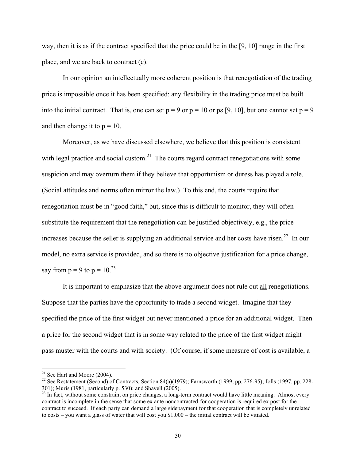way, then it is as if the contract specified that the price could be in the [9, 10] range in the first place, and we are back to contract (c).

 In our opinion an intellectually more coherent position is that renegotiation of the trading price is impossible once it has been specified: any flexibility in the trading price must be built into the initial contract. That is, one can set  $p = 9$  or  $p = 10$  or p $\epsilon$  [9, 10], but one cannot set  $p = 9$ and then change it to  $p = 10$ .

 Moreover, as we have discussed elsewhere, we believe that this position is consistent with legal practice and social custom.<sup>21</sup> The courts regard contract renegotiations with some suspicion and may overturn them if they believe that opportunism or duress has played a role. (Social attitudes and norms often mirror the law.) To this end, the courts require that renegotiation must be in "good faith," but, since this is difficult to monitor, they will often substitute the requirement that the renegotiation can be justified objectively, e.g., the price increases because the seller is supplying an additional service and her costs have risen.<sup>22</sup> In our model, no extra service is provided, and so there is no objective justification for a price change, say from  $p = 9$  to  $p = 10^{23}$ 

 It is important to emphasize that the above argument does not rule out all renegotiations. Suppose that the parties have the opportunity to trade a second widget. Imagine that they specified the price of the first widget but never mentioned a price for an additional widget. Then a price for the second widget that is in some way related to the price of the first widget might pass muster with the courts and with society. (Of course, if some measure of cost is available, a

 $\overline{a}$ 

 $21$  See Hart and Moore (2004).

<sup>&</sup>lt;sup>22</sup> See Restatement (Second) of Contracts, Section 84(a)(1979); Farnsworth (1999, pp. 276-95); Jolls (1997, pp. 228-301); Muris (1981, particularly p. 530); and Shavell (2005).

 $23$  In fact, without some constraint on price changes, a long-term contract would have little meaning. Almost every  $23$ contract is incomplete in the sense that some ex ante noncontracted-for cooperation is required ex post for the contract to succeed. If each party can demand a large sidepayment for that cooperation that is completely unrelated to costs – you want a glass of water that will cost you \$1,000 – the initial contract will be vitiated.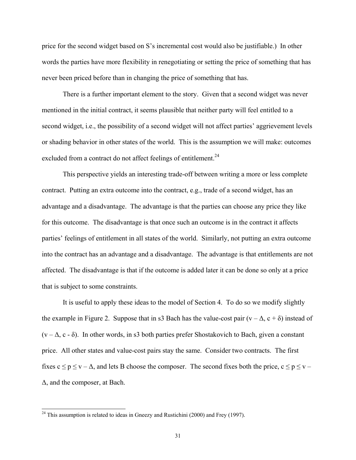price for the second widget based on S's incremental cost would also be justifiable.) In other words the parties have more flexibility in renegotiating or setting the price of something that has never been priced before than in changing the price of something that has.

 There is a further important element to the story. Given that a second widget was never mentioned in the initial contract, it seems plausible that neither party will feel entitled to a second widget, i.e., the possibility of a second widget will not affect parties' aggrievement levels or shading behavior in other states of the world. This is the assumption we will make: outcomes excluded from a contract do not affect feelings of entitlement.<sup>24</sup>

 This perspective yields an interesting trade-off between writing a more or less complete contract. Putting an extra outcome into the contract, e.g., trade of a second widget, has an advantage and a disadvantage. The advantage is that the parties can choose any price they like for this outcome. The disadvantage is that once such an outcome is in the contract it affects parties' feelings of entitlement in all states of the world. Similarly, not putting an extra outcome into the contract has an advantage and a disadvantage. The advantage is that entitlements are not affected. The disadvantage is that if the outcome is added later it can be done so only at a price that is subject to some constraints.

 It is useful to apply these ideas to the model of Section 4. To do so we modify slightly the example in Figure 2. Suppose that in s3 Bach has the value-cost pair  $(v - \Delta, c + \delta)$  instead of  $(v - \Delta, c - \delta)$ . In other words, in s3 both parties prefer Shostakovich to Bach, given a constant price. All other states and value-cost pairs stay the same. Consider two contracts. The first fixes  $c \le p \le v - \Delta$ , and lets B choose the composer. The second fixes both the price,  $c \le p \le v - \Delta$ Δ, and the composer, at Bach.

 $\overline{a}$ 

<sup>&</sup>lt;sup>24</sup> This assumption is related to ideas in Gneezy and Rustichini (2000) and Frey (1997).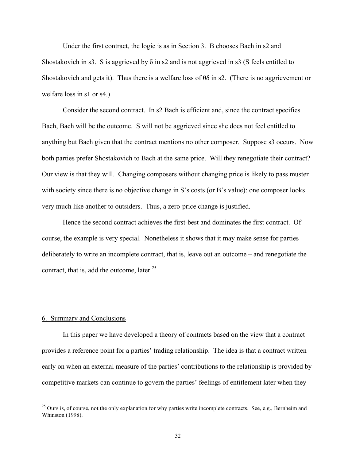Under the first contract, the logic is as in Section 3. B chooses Bach in s2 and Shostakovich in s3. S is aggrieved by  $\delta$  in s2 and is not aggrieved in s3 (S feels entitled to Shostakovich and gets it). Thus there is a welfare loss of  $\theta \delta$  in s2. (There is no aggrievement or welfare loss in s1 or s4.)

 Consider the second contract. In s2 Bach is efficient and, since the contract specifies Bach, Bach will be the outcome. S will not be aggrieved since she does not feel entitled to anything but Bach given that the contract mentions no other composer. Suppose s3 occurs. Now both parties prefer Shostakovich to Bach at the same price. Will they renegotiate their contract? Our view is that they will. Changing composers without changing price is likely to pass muster with society since there is no objective change in S's costs (or B's value): one composer looks very much like another to outsiders. Thus, a zero-price change is justified.

 Hence the second contract achieves the first-best and dominates the first contract. Of course, the example is very special. Nonetheless it shows that it may make sense for parties deliberately to write an incomplete contract, that is, leave out an outcome – and renegotiate the contract, that is, add the outcome, later. $25$ 

## 6. Summary and Conclusions

 $\overline{a}$ 

 In this paper we have developed a theory of contracts based on the view that a contract provides a reference point for a parties' trading relationship. The idea is that a contract written early on when an external measure of the parties' contributions to the relationship is provided by competitive markets can continue to govern the parties' feelings of entitlement later when they

 $^{25}$  Ours is, of course, not the only explanation for why parties write incomplete contracts. See, e.g., Bernheim and Whinston (1998).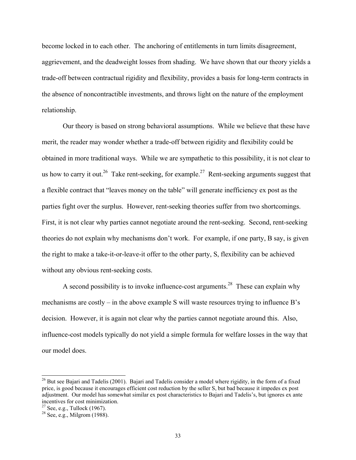become locked in to each other. The anchoring of entitlements in turn limits disagreement, aggrievement, and the deadweight losses from shading. We have shown that our theory yields a trade-off between contractual rigidity and flexibility, provides a basis for long-term contracts in the absence of noncontractible investments, and throws light on the nature of the employment relationship.

 Our theory is based on strong behavioral assumptions. While we believe that these have merit, the reader may wonder whether a trade-off between rigidity and flexibility could be obtained in more traditional ways. While we are sympathetic to this possibility, it is not clear to us how to carry it out.<sup>26</sup> Take rent-seeking, for example.<sup>27</sup> Rent-seeking arguments suggest that a flexible contract that "leaves money on the table" will generate inefficiency ex post as the parties fight over the surplus. However, rent-seeking theories suffer from two shortcomings. First, it is not clear why parties cannot negotiate around the rent-seeking. Second, rent-seeking theories do not explain why mechanisms don't work. For example, if one party, B say, is given the right to make a take-it-or-leave-it offer to the other party, S, flexibility can be achieved without any obvious rent-seeking costs.

A second possibility is to invoke influence-cost arguments.<sup>28</sup> These can explain why mechanisms are costly – in the above example S will waste resources trying to influence B's decision. However, it is again not clear why the parties cannot negotiate around this. Also, influence-cost models typically do not yield a simple formula for welfare losses in the way that our model does.

l

 $26$  But see Bajari and Tadelis (2001). Bajari and Tadelis consider a model where rigidity, in the form of a fixed price, is good because it encourages efficient cost reduction by the seller S, but bad because it impedes ex post adjustment. Our model has somewhat similar ex post characteristics to Bajari and Tadelis's, but ignores ex ante incentives for cost minimization.<br><sup>27</sup> See, e.g., Tullock (1967).

<sup>28</sup> See, e.g., Milgrom (1988).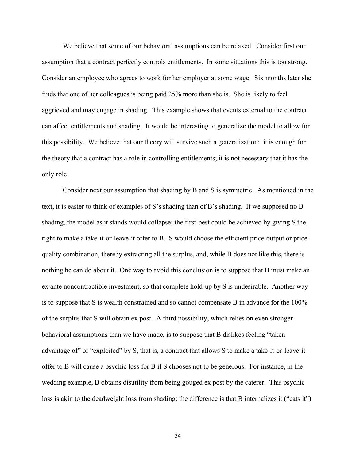We believe that some of our behavioral assumptions can be relaxed. Consider first our assumption that a contract perfectly controls entitlements. In some situations this is too strong. Consider an employee who agrees to work for her employer at some wage. Six months later she finds that one of her colleagues is being paid 25% more than she is. She is likely to feel aggrieved and may engage in shading. This example shows that events external to the contract can affect entitlements and shading. It would be interesting to generalize the model to allow for this possibility. We believe that our theory will survive such a generalization: it is enough for the theory that a contract has a role in controlling entitlements; it is not necessary that it has the only role.

 Consider next our assumption that shading by B and S is symmetric. As mentioned in the text, it is easier to think of examples of S's shading than of B's shading. If we supposed no B shading, the model as it stands would collapse: the first-best could be achieved by giving S the right to make a take-it-or-leave-it offer to B. S would choose the efficient price-output or pricequality combination, thereby extracting all the surplus, and, while B does not like this, there is nothing he can do about it. One way to avoid this conclusion is to suppose that B must make an ex ante noncontractible investment, so that complete hold-up by S is undesirable. Another way is to suppose that S is wealth constrained and so cannot compensate B in advance for the 100% of the surplus that S will obtain ex post. A third possibility, which relies on even stronger behavioral assumptions than we have made, is to suppose that B dislikes feeling "taken advantage of" or "exploited" by S, that is, a contract that allows S to make a take-it-or-leave-it offer to B will cause a psychic loss for B if S chooses not to be generous. For instance, in the wedding example, B obtains disutility from being gouged ex post by the caterer. This psychic loss is akin to the deadweight loss from shading: the difference is that B internalizes it ("eats it")

34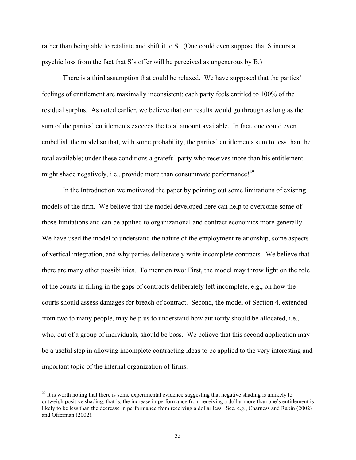rather than being able to retaliate and shift it to S. (One could even suppose that S incurs a psychic loss from the fact that S's offer will be perceived as ungenerous by B.)

 There is a third assumption that could be relaxed. We have supposed that the parties' feelings of entitlement are maximally inconsistent: each party feels entitled to 100% of the residual surplus. As noted earlier, we believe that our results would go through as long as the sum of the parties' entitlements exceeds the total amount available. In fact, one could even embellish the model so that, with some probability, the parties' entitlements sum to less than the total available; under these conditions a grateful party who receives more than his entitlement might shade negatively, i.e., provide more than consummate performance!<sup>29</sup>

 In the Introduction we motivated the paper by pointing out some limitations of existing models of the firm. We believe that the model developed here can help to overcome some of those limitations and can be applied to organizational and contract economics more generally. We have used the model to understand the nature of the employment relationship, some aspects of vertical integration, and why parties deliberately write incomplete contracts. We believe that there are many other possibilities. To mention two: First, the model may throw light on the role of the courts in filling in the gaps of contracts deliberately left incomplete, e.g., on how the courts should assess damages for breach of contract. Second, the model of Section 4, extended from two to many people, may help us to understand how authority should be allocated, i.e., who, out of a group of individuals, should be boss. We believe that this second application may be a useful step in allowing incomplete contracting ideas to be applied to the very interesting and important topic of the internal organization of firms.

 $\overline{a}$ 

 $^{29}$  It is worth noting that there is some experimental evidence suggesting that negative shading is unlikely to outweigh positive shading, that is, the increase in performance from receiving a dollar more than one's entitlement is likely to be less than the decrease in performance from receiving a dollar less. See, e.g., Charness and Rabin (2002) and Offerman (2002).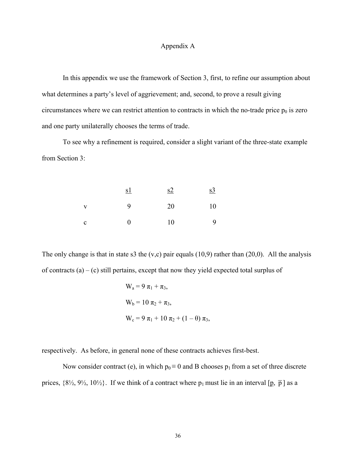## Appendix A

In this appendix we use the framework of Section 3, first, to refine our assumption about what determines a party's level of aggrievement; and, second, to prove a result giving circumstances where we can restrict attention to contracts in which the no-trade price  $p_0$  is zero and one party unilaterally chooses the terms of trade.

 To see why a refinement is required, consider a slight variant of the three-state example from Section 3:

|              | <u>s1</u> | s2  | s <sub>3</sub> |
|--------------|-----------|-----|----------------|
| V            | 9         | 20  | 10             |
| $\mathbf{c}$ | $\Omega$  | -10 | 9              |

The only change is that in state s3 the  $(v,c)$  pair equals (10,9) rather than (20,0). All the analysis of contracts  $(a) - (c)$  still pertains, except that now they yield expected total surplus of

$$
W_a = 9 \pi_1 + \pi_3,
$$
  
\n
$$
W_b = 10 \pi_2 + \pi_3,
$$
  
\n
$$
W_c = 9 \pi_1 + 10 \pi_2 + (1 - \theta) \pi_3,
$$

respectively. As before, in general none of these contracts achieves first-best.

Now consider contract (e), in which  $p_0 \equiv 0$  and B chooses  $p_1$  from a set of three discrete prices,  $\{8\%, 9\%, 10\%\}$ . If we think of a contract where  $p_1$  must lie in an interval [p,  $\bar{p}$ ] as a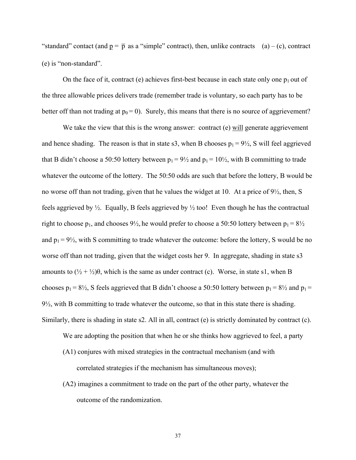"standard" contact (and  $p = \bar{p}$  as a "simple" contract), then, unlike contracts (a) – (c), contract (e) is "non-standard".

On the face of it, contract (e) achieves first-best because in each state only one  $p_1$  out of the three allowable prices delivers trade (remember trade is voluntary, so each party has to be better off than not trading at  $p_0 = 0$ ). Surely, this means that there is no source of aggrievement?

We take the view that this is the wrong answer: contract (e) will generate aggrievement and hence shading. The reason is that in state s3, when B chooses  $p_1 = 9\frac{1}{2}$ , S will feel aggrieved that B didn't choose a 50:50 lottery between  $p_1 = 9\frac{1}{2}$  and  $p_1 = 10\frac{1}{2}$ , with B committing to trade whatever the outcome of the lottery. The 50:50 odds are such that before the lottery, B would be no worse off than not trading, given that he values the widget at 10. At a price of 9½, then, S feels aggrieved by  $\frac{1}{2}$ . Equally, B feels aggrieved by  $\frac{1}{2}$  too! Even though he has the contractual right to choose  $p_1$ , and chooses  $9\frac{1}{2}$ , he would prefer to choose a 50:50 lottery between  $p_1 = 8\frac{1}{2}$ and  $p_1 = 9\frac{1}{2}$ , with S committing to trade whatever the outcome: before the lottery, S would be no worse off than not trading, given that the widget costs her 9. In aggregate, shading in state s3 amounts to  $(\frac{1}{2} + \frac{1}{2})\theta$ , which is the same as under contract (c). Worse, in state s1, when B chooses  $p_1 = 8\frac{1}{2}$ , S feels aggrieved that B didn't choose a 50:50 lottery between  $p_1 = 8\frac{1}{2}$  and  $p_1 =$ 9½, with B committing to trade whatever the outcome, so that in this state there is shading. Similarly, there is shading in state s2. All in all, contract (e) is strictly dominated by contract (c).

We are adopting the position that when he or she thinks how aggrieved to feel, a party

- (A1) conjures with mixed strategies in the contractual mechanism (and with correlated strategies if the mechanism has simultaneous moves);
- (A2) imagines a commitment to trade on the part of the other party, whatever the outcome of the randomization.

37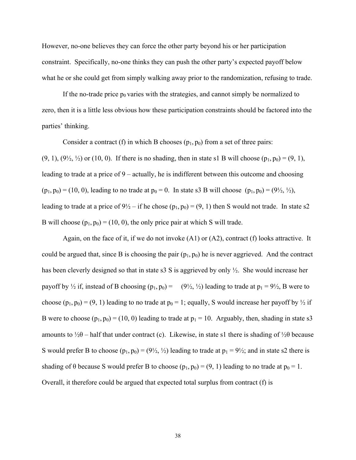However, no-one believes they can force the other party beyond his or her participation constraint. Specifically, no-one thinks they can push the other party's expected payoff below what he or she could get from simply walking away prior to the randomization, refusing to trade.

If the no-trade price  $p_0$  varies with the strategies, and cannot simply be normalized to zero, then it is a little less obvious how these participation constraints should be factored into the parties' thinking.

Consider a contract (f) in which B chooses  $(p_1, p_0)$  from a set of three pairs:

 $(9, 1)$ ,  $(9\frac{1}{2}, \frac{1}{2})$  or  $(10, 0)$ . If there is no shading, then in state s1 B will choose  $(p_1, p_0) = (9, 1)$ , leading to trade at a price of 9 – actually, he is indifferent between this outcome and choosing  $(p_1, p_0) = (10, 0)$ , leading to no trade at  $p_0 = 0$ . In state s3 B will choose  $(p_1, p_0) = (9\frac{1}{2}, \frac{1}{2})$ , leading to trade at a price of  $9\frac{1}{2}$  – if he chose (p<sub>1</sub>, p<sub>0</sub>) = (9, 1) then S would not trade. In state s2 B will choose  $(p_1, p_0) = (10, 0)$ , the only price pair at which S will trade.

 Again, on the face of it, if we do not invoke (A1) or (A2), contract (f) looks attractive. It could be argued that, since B is choosing the pair  $(p_1, p_0)$  he is never aggrieved. And the contract has been cleverly designed so that in state s3 S is aggrieved by only  $\frac{1}{2}$ . She would increase her payoff by  $\frac{1}{2}$  if, instead of B choosing  $(p_1, p_0) = (9\frac{1}{2}, \frac{1}{2})$  leading to trade at  $p_1 = 9\frac{1}{2}$ , B were to choose  $(p_1, p_0) = (9, 1)$  leading to no trade at  $p_0 = 1$ ; equally, S would increase her payoff by  $\frac{1}{2}$  if B were to choose  $(p_1, p_0) = (10, 0)$  leading to trade at  $p_1 = 10$ . Arguably, then, shading in state s3 amounts to  $\frac{1}{2}\theta$  – half that under contract (c). Likewise, in state s1 there is shading of  $\frac{1}{2}\theta$  because S would prefer B to choose  $(p_1, p_0) = (9\frac{1}{2}, \frac{1}{2})$  leading to trade at  $p_1 = 9\frac{1}{2}$ ; and in state s2 there is shading of  $\theta$  because S would prefer B to choose  $(p_1, p_0) = (9, 1)$  leading to no trade at  $p_0 = 1$ . Overall, it therefore could be argued that expected total surplus from contract (f) is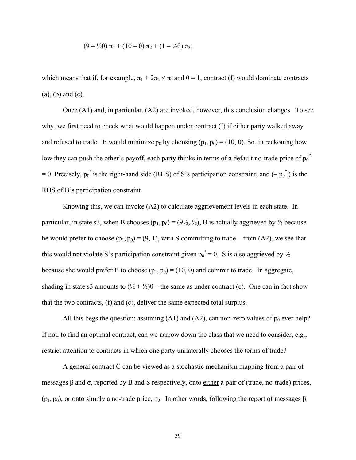$$
(9 - \frac{1}{2}\theta) \pi_1 + (10 - \theta) \pi_2 + (1 - \frac{1}{2}\theta) \pi_3,
$$

which means that if, for example,  $\pi_1 + 2\pi_2 < \pi_3$  and  $\theta = 1$ , contract (f) would dominate contracts (a), (b) and (c).

 Once (A1) and, in particular, (A2) are invoked, however, this conclusion changes. To see why, we first need to check what would happen under contract (f) if either party walked away and refused to trade. B would minimize  $p_0$  by choosing  $(p_1, p_0) = (10, 0)$ . So, in reckoning how low they can push the other's payoff, each party thinks in terms of a default no-trade price of  $p_0^*$ = 0. Precisely,  $p_0^*$  is the right-hand side (RHS) of S's participation constraint; and  $(-p_0^*)$  is the RHS of B's participation constraint.

 Knowing this, we can invoke (A2) to calculate aggrievement levels in each state. In particular, in state s3, when B chooses  $(p_1, p_0) = (9\frac{1}{2}, \frac{1}{2})$ , B is actually aggrieved by  $\frac{1}{2}$  because he would prefer to choose  $(p_1, p_0) = (9, 1)$ , with S committing to trade – from (A2), we see that this would not violate S's participation constraint given  $p_0^* = 0$ . S is also aggrieved by  $\frac{1}{2}$ because she would prefer B to choose  $(p_1, p_0) = (10, 0)$  and commit to trade. In aggregate, shading in state s3 amounts to  $(\frac{1}{2} + \frac{1}{2})\theta$  – the same as under contract (c). One can in fact show that the two contracts, (f) and (c), deliver the same expected total surplus.

All this begs the question: assuming (A1) and (A2), can non-zero values of  $p_0$  ever help? If not, to find an optimal contract, can we narrow down the class that we need to consider, e.g., restrict attention to contracts in which one party unilaterally chooses the terms of trade?

 A general contract C can be viewed as a stochastic mechanism mapping from a pair of messages β and σ, reported by B and S respectively, onto either a pair of (trade, no-trade) prices,  $(p_1, p_0)$ , or onto simply a no-trade price,  $p_0$ . In other words, following the report of messages  $\beta$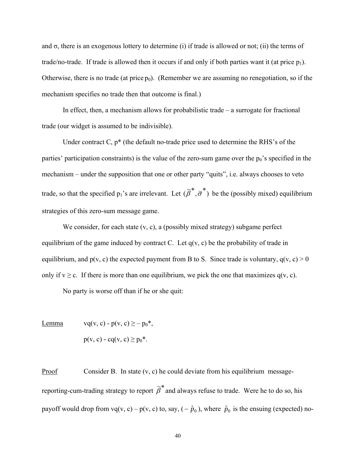and  $\sigma$ , there is an exogenous lottery to determine (i) if trade is allowed or not; (ii) the terms of trade/no-trade. If trade is allowed then it occurs if and only if both parties want it (at price  $p_1$ ). Otherwise, there is no trade (at price  $p_0$ ). (Remember we are assuming no renegotiation, so if the mechanism specifies no trade then that outcome is final.)

 In effect, then, a mechanism allows for probabilistic trade – a surrogate for fractional trade (our widget is assumed to be indivisible).

 Under contract C, p\* (the default no-trade price used to determine the RHS's of the parties' participation constraints) is the value of the zero-sum game over the  $p_0$ 's specified in the mechanism – under the supposition that one or other party "quits", i.e. always chooses to veto trade, so that the specified  $p_1$ 's are irrelevant. Let  $(\tilde{\beta}^*, \tilde{\sigma}^*)$  be the (possibly mixed) equilibrium strategies of this zero-sum message game.

We consider, for each state  $(v, c)$ , a (possibly mixed strategy) subgame perfect equilibrium of the game induced by contract C. Let  $q(v, c)$  be the probability of trade in equilibrium, and  $p(v, c)$  the expected payment from B to S. Since trade is voluntary,  $q(v, c) > 0$ only if  $v \ge c$ . If there is more than one equilibrium, we pick the one that maximizes  $q(v, c)$ .

No party is worse off than if he or she quit:

 $p(v, c) - cq(v, c) \ge p_0^*$ .

Lemma  $\text{vq}(v, c) - p(v, c) \ge -p_0^*$ ,

Proof Consider B. In state  $(v, c)$  he could deviate from his equilibrium messagereporting-cum-trading strategy to report  $\tilde{\beta}^*$  and always refuse to trade. Were he to do so, his payoff would drop from vq(v, c) – p(v, c) to, say,  $(-\hat{p}_0)$ , where  $\hat{p}_0$  is the ensuing (expected) no-

40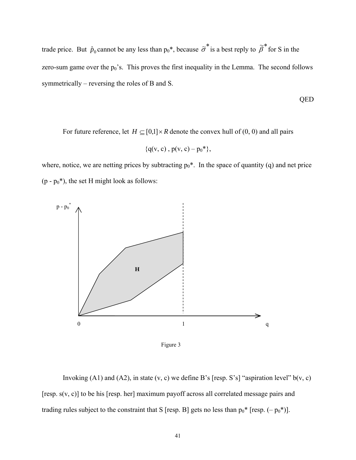trade price. But  $\hat{p}_0$  cannot be any less than  $p_0^*$ , because  $\tilde{\sigma}^*$  is a best reply to  $\tilde{\beta}^*$  for S in the zero-sum game over the  $p_0$ 's. This proves the first inequality in the Lemma. The second follows symmetrically – reversing the roles of B and S.

QED

For future reference, let  $H \subseteq [0,1] \times R$  denote the convex hull of (0, 0) and all pairs

$$
\{q(v, c), p(v, c) - p_0^*\},
$$

where, notice, we are netting prices by subtracting  $p_0^*$ . In the space of quantity (q) and net price  $(p - p_0^*)$ , the set H might look as follows:



Figure 3

Invoking (A1) and (A2), in state  $(v, c)$  we define B's [resp. S's] "aspiration level"  $b(v, c)$ [resp. s(v, c)] to be his [resp. her] maximum payoff across all correlated message pairs and trading rules subject to the constraint that S [resp. B] gets no less than  $p_0^*$  [resp.  $(-p_0^*)$ ].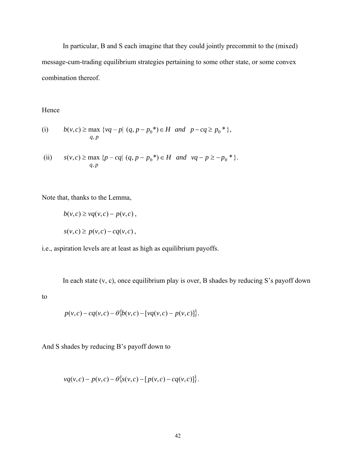In particular, B and S each imagine that they could jointly precommit to the (mixed) message-cum-trading equilibrium strategies pertaining to some other state, or some convex combination thereof.

Hence

(i) 
$$
b(v,c) \ge \max \{vq - p | (q, p - p_0^*) \in H \text{ and } p - cq \ge p_0^* \},
$$
  
  $q, p$ 

(ii) 
$$
s(v, c) \ge \max \{p - cq | (q, p - p_0^*) \in H \text{ and } vq - p \ge -p_0^* \}.
$$

Note that, thanks to the Lemma,

$$
b(v, c) \ge vq(v, c) - p(v, c),
$$
  

$$
s(v, c) \ge p(v, c) - cq(v, c),
$$

i.e., aspiration levels are at least as high as equilibrium payoffs.

In each state (v, c), once equilibrium play is over, B shades by reducing S's payoff down

to

$$
p(v,c) - cq(v,c) - \theta\{b(v,c) - [vq(v,c) - p(v,c)]\}.
$$

And S shades by reducing B's payoff down to

$$
vq(v, c) - p(v, c) - \theta \{s(v, c) - [p(v, c) - cq(v, c)]\}.
$$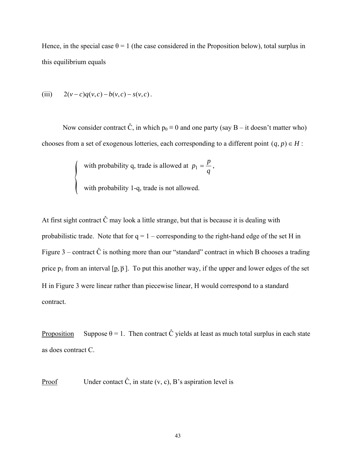Hence, in the special case  $\theta = 1$  (the case considered in the Proposition below), total surplus in this equilibrium equals

(iii) 
$$
2(v-c)q(v,c) - b(v,c) - s(v,c)
$$
.

Now consider contract  $\hat{C}$ , in which  $p_0 \equiv 0$  and one party (say B – it doesn't matter who) chooses from a set of exogenous lotteries, each corresponding to a different point  $(q, p) \in H$ :

with probability q, trade is allowed at 
$$
p_1 = \frac{p}{q}
$$
,

with probability 1-q, trade is not allowed.

At first sight contract  $\hat{C}$  may look a little strange, but that is because it is dealing with probabilistic trade. Note that for  $q = 1 -$  corresponding to the right-hand edge of the set H in Figure  $3$  – contract  $\hat{C}$  is nothing more than our "standard" contract in which B chooses a trading price  $p_1$  from an interval  $[p, \overline{p}]$ . To put this another way, if the upper and lower edges of the set H in Figure 3 were linear rather than piecewise linear, H would correspond to a standard contract.

Proposition Suppose  $\theta = 1$ . Then contract  $\hat{C}$  yields at least as much total surplus in each state as does contract C.

Proof Under contact  $\hat{C}$ , in state  $(v, c)$ , B's aspiration level is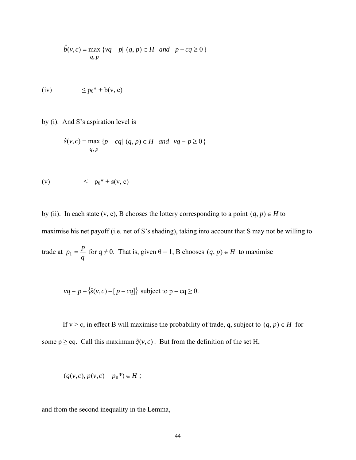$$
\hat{b}(v,c) = \max_{q,p} \{vq - p | (q, p) \in H \text{ and } p - cq \ge 0 \}
$$

(iv) ≤ p0\* + b(v, c)

by (i). And S's aspiration level is

$$
\hat{s}(v,c) = \max \{p - cq | (q, p) \in H \text{ and } vq - p \ge 0 \}
$$
  
q,p

$$
(v) \qquad \qquad \leq -p_0^* + s(v, c)
$$

by (ii). In each state (v, c), B chooses the lottery corresponding to a point  $(q, p) \in H$  to maximise his net payoff (i.e. net of S's shading), taking into account that S may not be willing to trade at  $p_1 = \frac{p}{q}$  for  $q \neq 0$ . That is, given  $\theta = 1$ , B chooses  $(q, p) \in H$  to maximise

$$
vq - p - \{\hat{s}(v, c) - [p - cq]\}
$$
 subject to  $p - cq \ge 0$ .

If v > c, in effect B will maximise the probability of trade, q, subject to  $(q, p) \in H$  for some  $p \geq cq$ . Call this maximum  $\hat{q}(v, c)$ . But from the definition of the set H,

$$
(q(v, c), p(v, c) - p_0^*) \in H ;
$$

and from the second inequality in the Lemma,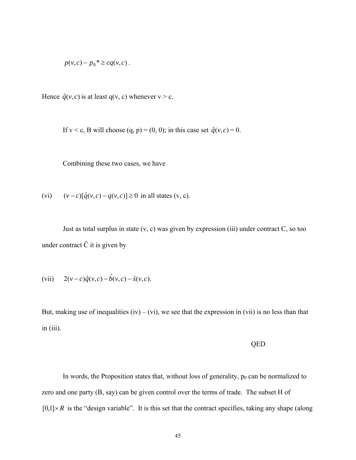$$
p(v,c) - p_0^* \geq cq(v,c).
$$

Hence  $\hat{q}(v, c)$  is at least q(v, c) whenever  $v > c$ .

If  $v < c$ , B will choose (q, p) = (0, 0); in this case set  $\hat{q}(v, c) = 0$ .

Combining these two cases, we have

(vi) 
$$
(v-c)[\hat{q}(v,c)-q(v,c)] \ge 0
$$
 in all states (v, c).

Just as total surplus in state  $(v, c)$  was given by expression (iii) under contract  $C$ , so too under contract  $\hat{C}$  it is given by

(vii) 
$$
2(v-c)\hat{q}(v,c) - \hat{b}(v,c) - \hat{s}(v,c)
$$
.

But, making use of inequalities (iv) – (vi), we see that the expression in (vii) is no less than that  $in (iii)$ .

#### QED

In words, the Proposition states that, without loss of generality,  $p_0$  can be normalized to zero and one party (B, say) can be given control over the terms of trade. The subset H of  $[0,1] \times R$  is the "design variable". It is this set that the contract specifies, taking any shape (along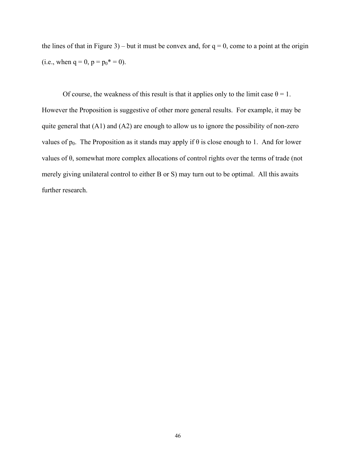the lines of that in Figure 3) – but it must be convex and, for  $q = 0$ , come to a point at the origin (i.e., when  $q = 0$ ,  $p = p_0^* = 0$ ).

Of course, the weakness of this result is that it applies only to the limit case  $\theta = 1$ . However the Proposition is suggestive of other more general results. For example, it may be quite general that (A1) and (A2) are enough to allow us to ignore the possibility of non-zero values of  $p_0$ . The Proposition as it stands may apply if  $\theta$  is close enough to 1. And for lower values of θ, somewhat more complex allocations of control rights over the terms of trade (not merely giving unilateral control to either B or S) may turn out to be optimal. All this awaits further research.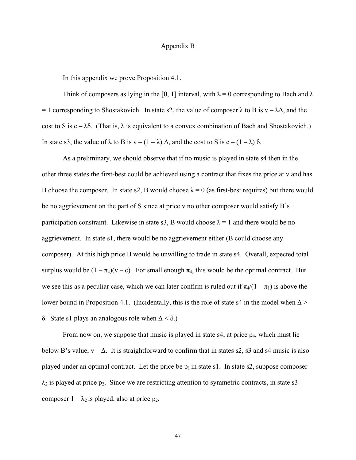### Appendix B

In this appendix we prove Proposition 4.1.

Think of composers as lying in the [0, 1] interval, with  $\lambda = 0$  corresponding to Bach and  $\lambda$ = 1 corresponding to Shostakovich. In state s2, the value of composer  $\lambda$  to B is v –  $\lambda\Delta$ , and the cost to S is  $c - \lambda \delta$ . (That is,  $\lambda$  is equivalent to a convex combination of Bach and Shostakovich.) In state s3, the value of  $\lambda$  to B is  $v - (1 - \lambda) \Delta$ , and the cost to S is  $c - (1 - \lambda) \delta$ .

As a preliminary, we should observe that if no music is played in state s4 then in the other three states the first-best could be achieved using a contract that fixes the price at v and has B choose the composer. In state s2, B would choose  $\lambda = 0$  (as first-best requires) but there would be no aggrievement on the part of S since at price v no other composer would satisfy B's participation constraint. Likewise in state s3, B would choose  $\lambda = 1$  and there would be no aggrievement. In state s1, there would be no aggrievement either (B could choose any composer). At this high price B would be unwilling to trade in state s4. Overall, expected total surplus would be  $(1 - \pi_4)(v - c)$ . For small enough  $\pi_4$ , this would be the optimal contract. But we see this as a peculiar case, which we can later confirm is ruled out if  $\pi_4/(1 - \pi_1)$  is above the lower bound in Proposition 4.1. (Incidentally, this is the role of state s4 in the model when  $\Delta$  > δ. State s1 plays an analogous role when  $Δ < δ$ .)

From now on, we suppose that music is played in state  $s4$ , at price  $p_4$ , which must lie below B's value,  $v - \Delta$ . It is straightforward to confirm that in states s2, s3 and s4 music is also played under an optimal contract. Let the price be  $p_1$  in state s1. In state s2, suppose composer  $\lambda_2$  is played at price p<sub>2</sub>. Since we are restricting attention to symmetric contracts, in state s3 composer  $1 - \lambda_2$  is played, also at price  $p_2$ .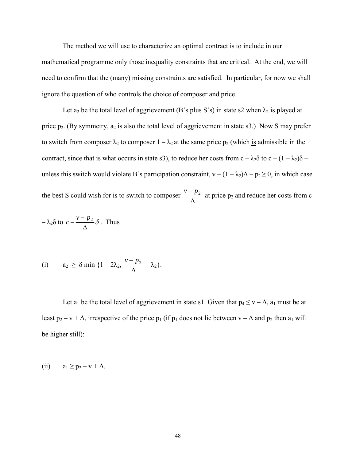The method we will use to characterize an optimal contract is to include in our mathematical programme only those inequality constraints that are critical. At the end, we will need to confirm that the (many) missing constraints are satisfied. In particular, for now we shall ignore the question of who controls the choice of composer and price.

Let  $a_2$  be the total level of aggrievement (B's plus S's) in state s2 when  $\lambda_2$  is played at price  $p_2$ . (By symmetry,  $a_2$  is also the total level of aggrievement in state s3.) Now S may prefer to switch from composer  $\lambda_2$  to composer  $1 - \lambda_2$  at the same price  $p_2$  (which is admissible in the contract, since that is what occurs in state s3), to reduce her costs from  $c - \lambda_2 \delta$  to  $c - (1 - \lambda_2)\delta$  – unless this switch would violate B's participation constraint,  $v - (1 - \lambda_2)\Delta - p_2 \ge 0$ , in which case the best S could wish for is to switch to composer  $\frac{V}{\Delta}$  $\frac{v - p_2}{v}$  at price p<sub>2</sub> and reduce her costs from c

$$
-\lambda_2 \delta \text{ to } c - \frac{v - p_2}{\Delta} \delta. \text{ Thus}
$$

(i) 
$$
a_2 \ge \delta \min \{1 - 2\lambda_2, \frac{\nu - p_2}{\Delta} - \lambda_2\}.
$$

Let  $a_1$  be the total level of aggrievement in state s1. Given that  $p_4 \le v - \Delta$ ,  $a_1$  must be at least  $p_2 - v + \Delta$ , irrespective of the price  $p_1$  (if  $p_1$  does not lie between  $v - \Delta$  and  $p_2$  then  $a_1$  will be higher still):

(ii) 
$$
a_1 \geq p_2 - v + \Delta
$$
.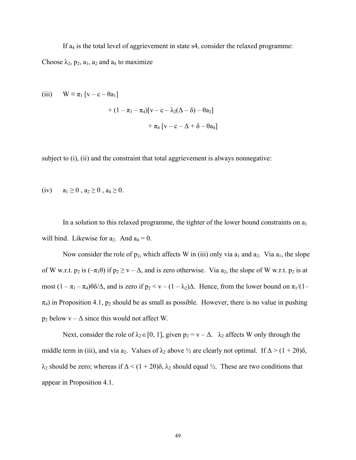If  $a_4$  is the total level of aggrievement in state s4, consider the relaxed programme: Choose  $\lambda_2$ ,  $p_2$ ,  $a_1$ ,  $a_2$  and  $a_4$  to maximize

(iii) 
$$
W \equiv \pi_1 [v - c - \theta a_1]
$$
  
  $+ (1 - \pi_1 - \pi_4)[v - c - \lambda_2(\Delta - \delta) - \theta a_2]$   
  $+ \pi_4 [v - c - \Delta + \delta - \theta a_4]$ 

subject to (i), (ii) and the constraint that total aggrievement is always nonnegative:

(iv) 
$$
a_1 \ge 0
$$
,  $a_2 \ge 0$ ,  $a_4 \ge 0$ .

In a solution to this relaxed programme, the tighter of the lower bound constraints on  $a_1$ will bind. Likewise for  $a_2$ . And  $a_4 = 0$ .

Now consider the role of  $p_2$ , which affects W in (iii) only via  $a_1$  and  $a_2$ . Via  $a_1$ , the slope of W w.r.t.  $p_2$  is  $(-\pi_1\theta)$  if  $p_2 \ge v - \Delta$ , and is zero otherwise. Via  $a_2$ , the slope of W w.r.t.  $p_2$  is at most  $(1 - \pi_1 - \pi_4)\theta \delta/\Delta$ , and is zero if  $p_2 < v - (1 - \lambda_2)\Delta$ . Hence, from the lower bound on  $\pi_1/(1 - \pi_2)\Delta$  $\pi_4$ ) in Proposition 4.1,  $p_2$  should be as small as possible. However, there is no value in pushing  $p_2$  below  $v - \Delta$  since this would not affect W.

Next, consider the role of  $\lambda_2 \in [0, 1]$ , given  $p_2 = v - \Delta$ .  $\lambda_2$  affects W only through the middle term in (iii), and via a<sub>2</sub>. Values of  $\lambda_2$  above  $\frac{1}{2}$  are clearly not optimal. If  $\Delta > (1 + 2\theta)\delta$ ,  $\lambda_2$  should be zero; whereas if  $\Delta < (1 + 2\theta)\delta$ ,  $\lambda_2$  should equal ½. These are two conditions that appear in Proposition 4.1.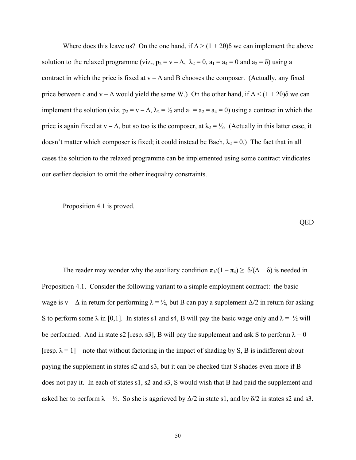Where does this leave us? On the one hand, if  $\Delta > (1 + 2\theta)\delta$  we can implement the above solution to the relaxed programme (viz.,  $p_2 = v - \Delta$ ,  $\lambda_2 = 0$ ,  $a_1 = a_4 = 0$  and  $a_2 = \delta$ ) using a contract in which the price is fixed at  $v - \Delta$  and B chooses the composer. (Actually, any fixed price between c and v –  $\Delta$  would yield the same W.) On the other hand, if  $\Delta < (1 + 2\theta)\delta$  we can implement the solution (viz.  $p_2 = v - \Delta$ ,  $\lambda_2 = \frac{1}{2}$  and  $a_1 = a_2 = a_4 = 0$ ) using a contract in which the price is again fixed at  $v - \Delta$ , but so too is the composer, at  $\lambda_2 = \frac{1}{2}$ . (Actually in this latter case, it doesn't matter which composer is fixed; it could instead be Bach,  $\lambda_2 = 0$ .) The fact that in all cases the solution to the relaxed programme can be implemented using some contract vindicates our earlier decision to omit the other inequality constraints.

Proposition 4.1 is proved.

QED

The reader may wonder why the auxiliary condition  $\pi_1/(1 - \pi_4) \ge \delta/(\Delta + \delta)$  is needed in Proposition 4.1. Consider the following variant to a simple employment contract: the basic wage is v –  $\Delta$  in return for performing  $\lambda = \frac{1}{2}$ , but B can pay a supplement  $\Delta/2$  in return for asking S to perform some  $\lambda$  in [0,1]. In states s1 and s4, B will pay the basic wage only and  $\lambda = \frac{1}{2}$  will be performed. And in state s2 [resp. s3], B will pay the supplement and ask S to perform  $\lambda = 0$ [resp.  $\lambda = 1$ ] – note that without factoring in the impact of shading by S, B is indifferent about paying the supplement in states s2 and s3, but it can be checked that S shades even more if B does not pay it. In each of states s1, s2 and s3, S would wish that B had paid the supplement and asked her to perform  $\lambda = \frac{1}{2}$ . So she is aggrieved by  $\Delta/2$  in state s1, and by  $\delta/2$  in states s2 and s3.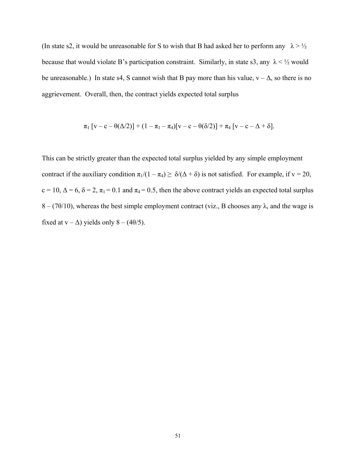(In state s2, it would be unreasonable for S to wish that B had asked her to perform any  $\lambda > \frac{1}{2}$ because that would violate B's participation constraint. Similarly, in state s3, any  $\lambda < \frac{1}{2}$  would be unreasonable.) In state s4, S cannot wish that B pay more than his value,  $v - \Delta$ , so there is no aggrievement. Overall, then, the contract yields expected total surplus

$$
\pi_1 \left[ v - c - \theta(\Delta/2) \right] + (1 - \pi_1 - \pi_4) \left[ v - c - \theta(\delta/2) \right] + \pi_4 \left[ v - c - \Delta + \delta \right].
$$

This can be strictly greater than the expected total surplus yielded by any simple employment contract if the auxiliary condition  $\pi_1/(1 - \pi_4) \ge \delta/(\Delta + \delta)$  is not satisfied. For example, if  $v = 20$ ,  $c = 10$ ,  $\Delta = 6$ ,  $\delta = 2$ ,  $\pi_1 = 0.1$  and  $\pi_4 = 0.5$ , then the above contract yields an expected total surplus  $8 - (70/10)$ , whereas the best simple employment contract (viz., B chooses any  $\lambda$ , and the wage is fixed at  $v - \Delta$ ) yields only 8 – (4 $\theta$ /5).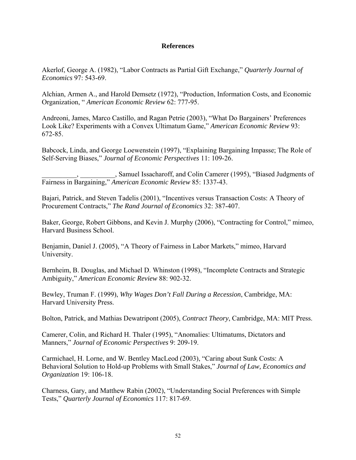# **References**

Akerlof, George A. (1982), "Labor Contracts as Partial Gift Exchange," *Quarterly Journal of Economics* 97: 543-69.

Alchian, Armen A., and Harold Demsetz (1972), "Production, Information Costs, and Economic Organization, " *American Economic Review* 62: 777-95.

Andreoni, James, Marco Castillo, and Ragan Petrie (2003), "What Do Bargainers' Preferences Look Like? Experiments with a Convex Ultimatum Game," *American Economic Review* 93: 672-85.

Babcock, Linda, and George Loewenstein (1997), "Explaining Bargaining Impasse; The Role of Self-Serving Biases," *Journal of Economic Perspectives* 11: 109-26.

\_\_\_\_\_\_\_\_\_\_, \_\_\_\_\_\_\_\_\_\_, Samuel Issacharoff, and Colin Camerer (1995), "Biased Judgments of Fairness in Bargaining," *American Economic Review* 85: 1337-43.

Bajari, Patrick, and Steven Tadelis (2001), "Incentives versus Transaction Costs: A Theory of Procurement Contracts," *The Rand Journal of Economics* 32: 387-407.

Baker, George, Robert Gibbons, and Kevin J. Murphy (2006), "Contracting for Control," mimeo, Harvard Business School.

Benjamin, Daniel J. (2005), "A Theory of Fairness in Labor Markets," mimeo, Harvard University.

Bernheim, B. Douglas, and Michael D. Whinston (1998), "Incomplete Contracts and Strategic Ambiguity," *American Economic Review* 88: 902-32.

Bewley, Truman F. (1999), *Why Wages Don't Fall During a Recession*, Cambridge, MA: Harvard University Press.

Bolton, Patrick, and Mathias Dewatripont (2005), *Contract Theory*, Cambridge, MA: MIT Press.

Camerer, Colin, and Richard H. Thaler (1995), "Anomalies: Ultimatums, Dictators and Manners," *Journal of Economic Perspectives* 9: 209-19.

Carmichael, H. Lorne, and W. Bentley MacLeod (2003), "Caring about Sunk Costs: A Behavioral Solution to Hold-up Problems with Small Stakes," *Journal of Law, Economics and Organization* 19: 106-18.

Charness, Gary, and Matthew Rabin (2002), "Understanding Social Preferences with Simple Tests," *Quarterly Journal of Economics* 117: 817-69.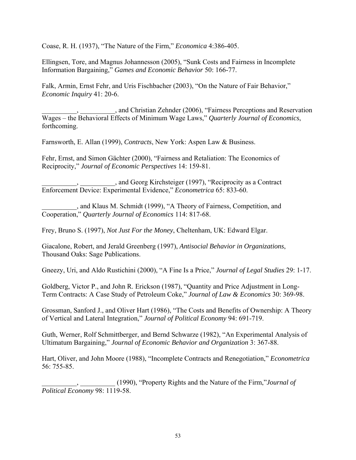Coase, R. H. (1937), "The Nature of the Firm," *Economica* 4:386-405.

Ellingsen, Tore, and Magnus Johannesson (2005), "Sunk Costs and Fairness in Incomplete Information Bargaining," *Games and Economic Behavior* 50: 166-77.

Falk, Armin, Ernst Fehr, and Uris Fischbacher (2003), "On the Nature of Fair Behavior," *Economic Inquiry* 41: 20-6.

\_\_\_\_\_\_\_\_\_\_, \_\_\_\_\_\_\_\_\_\_, and Christian Zehnder (2006), "Fairness Perceptions and Reservation Wages – the Behavioral Effects of Minimum Wage Laws," *Quarterly Journal of Economics*, forthcoming.

Farnsworth, E. Allan (1999), *Contracts*, New York: Aspen Law & Business.

Fehr, Ernst, and Simon Gächter (2000), "Fairness and Retaliation: The Economics of Reciprocity," *Journal of Economic Perspectives* 14: 159-81.

\_\_\_\_\_\_\_\_\_\_, \_\_\_\_\_\_\_\_\_\_, and Georg Kirchsteiger (1997), "Reciprocity as a Contract Enforcement Device: Experimental Evidence," *Econometrica* 65: 833-60.

\_\_\_\_\_\_\_\_\_\_, and Klaus M. Schmidt (1999), "A Theory of Fairness, Competition, and Cooperation," *Quarterly Journal of Economics* 114: 817-68.

Frey, Bruno S. (1997), *Not Just For the Money*, Cheltenham, UK: Edward Elgar.

Giacalone, Robert, and Jerald Greenberg (1997), *Antisocial Behavior in Organizations*, Thousand Oaks: Sage Publications.

Gneezy, Uri, and Aldo Rustichini (2000), "A Fine Is a Price," *Journal of Legal Studies* 29: 1-17.

Goldberg, Victor P., and John R. Erickson (1987), "Quantity and Price Adjustment in Long-Term Contracts: A Case Study of Petroleum Coke," *Journal of Law & Economics* 30: 369-98.

Grossman, Sanford J., and Oliver Hart (1986), "The Costs and Benefits of Ownership: A Theory of Vertical and Lateral Integration," *Journal of Political Economy* 94: 691-719.

Guth, Werner, Rolf Schmittberger, and Bernd Schwarze (1982), "An Experimental Analysis of Ultimatum Bargaining," *Journal of Economic Behavior and Organization* 3: 367-88.

Hart, Oliver, and John Moore (1988), "Incomplete Contracts and Renegotiation," *Econometrica*  56: 755-85.

\_\_\_\_\_\_\_\_\_\_, \_\_\_\_\_\_\_\_\_\_ (1990), "Property Rights and the Nature of the Firm,"*Journal of Political Economy* 98: 1119-58.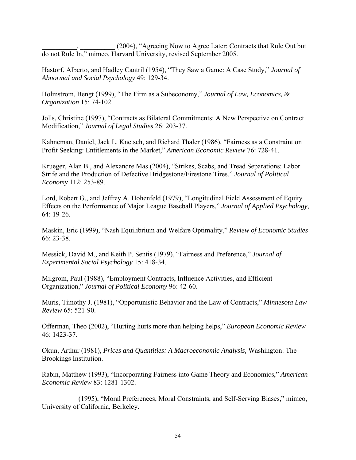(2004), "Agreeing Now to Agree Later: Contracts that Rule Out but do not Rule In," mimeo, Harvard University, revised September 2005.

Hastorf, Alberto, and Hadley Cantril (1954), "They Saw a Game: A Case Study," *Journal of Abnormal and Social Psychology* 49: 129-34.

Holmstrom, Bengt (1999), "The Firm as a Subeconomy," *Journal of Law, Economics, & Organization* 15: 74-102.

Jolls, Christine (1997), "Contracts as Bilateral Commitments: A New Perspective on Contract Modification," *Journal of Legal Studies* 26: 203-37.

Kahneman, Daniel, Jack L. Knetsch, and Richard Thaler (1986), "Fairness as a Constraint on Profit Seeking: Entitlements in the Market," *American Economic Review* 76: 728-41.

Krueger, Alan B., and Alexandre Mas (2004), "Strikes, Scabs, and Tread Separations: Labor Strife and the Production of Defective Bridgestone/Firestone Tires," *Journal of Political Economy* 112: 253-89.

Lord, Robert G., and Jeffrey A. Hohenfeld (1979), "Longitudinal Field Assessment of Equity Effects on the Performance of Major League Baseball Players," *Journal of Applied Psychology*, 64: 19-26.

Maskin, Eric (1999), "Nash Equilibrium and Welfare Optimality," *Review of Economic Studies* 66: 23-38.

Messick, David M., and Keith P. Sentis (1979), "Fairness and Preference," *Journal of Experimental Social Psychology* 15: 418-34.

Milgrom, Paul (1988), "Employment Contracts, Influence Activities, and Efficient Organization," *Journal of Political Economy* 96: 42-60.

Muris, Timothy J. (1981), "Opportunistic Behavior and the Law of Contracts," *Minnesota Law Review* 65: 521-90.

Offerman, Theo (2002), "Hurting hurts more than helping helps," *European Economic Review* 46: 1423-37.

Okun, Arthur (1981), *Prices and Quantities: A Macroeconomic Analysis,* Washington: The Brookings Institution.

Rabin, Matthew (1993), "Incorporating Fairness into Game Theory and Economics," *American Economic Review* 83: 1281-1302.

\_\_\_\_\_\_\_\_\_\_ (1995), "Moral Preferences, Moral Constraints, and Self-Serving Biases," mimeo, University of California, Berkeley.